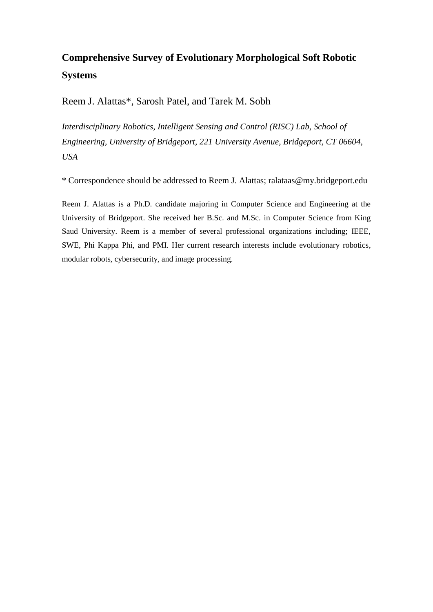# **Comprehensive Survey of Evolutionary Morphological Soft Robotic Systems**

Reem J. Alattas\*, Sarosh Patel, and Tarek M. Sobh

*Interdisciplinary Robotics, Intelligent Sensing and Control (RISC) Lab, School of Engineering, University of Bridgeport, 221 University Avenue, Bridgeport, CT 06604, USA*

\* Correspondence should be addressed to Reem J. Alattas; ralataas@my.bridgeport.edu

Reem J. Alattas is a Ph.D. candidate majoring in Computer Science and Engineering at the University of Bridgeport. She received her B.Sc. and M.Sc. in Computer Science from King Saud University. Reem is a member of several professional organizations including; IEEE, SWE, Phi Kappa Phi, and PMI. Her current research interests include evolutionary robotics, modular robots, cybersecurity, and image processing.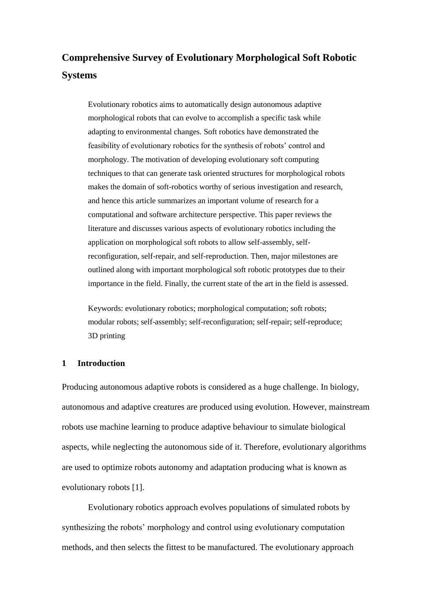# **Comprehensive Survey of Evolutionary Morphological Soft Robotic Systems**

Evolutionary robotics aims to automatically design autonomous adaptive morphological robots that can evolve to accomplish a specific task while adapting to environmental changes. Soft robotics have demonstrated the feasibility of evolutionary robotics for the synthesis of robots' control and morphology. The motivation of developing evolutionary soft computing techniques to that can generate task oriented structures for morphological robots makes the domain of soft-robotics worthy of serious investigation and research, and hence this article summarizes an important volume of research for a computational and software architecture perspective. This paper reviews the literature and discusses various aspects of evolutionary robotics including the application on morphological soft robots to allow self-assembly, selfreconfiguration, self-repair, and self-reproduction. Then, major milestones are outlined along with important morphological soft robotic prototypes due to their importance in the field. Finally, the current state of the art in the field is assessed.

Keywords: evolutionary robotics; morphological computation; soft robots; modular robots; self-assembly; self-reconfiguration; self-repair; self-reproduce; 3D printing

# **1 Introduction**

Producing autonomous adaptive robots is considered as a huge challenge. In biology, autonomous and adaptive creatures are produced using evolution. However, mainstream robots use machine learning to produce adaptive behaviour to simulate biological aspects, while neglecting the autonomous side of it. Therefore, evolutionary algorithms are used to optimize robots autonomy and adaptation producing what is known as evolutionary robots [1].

Evolutionary robotics approach evolves populations of simulated robots by synthesizing the robots' morphology and control using evolutionary computation methods, and then selects the fittest to be manufactured. The evolutionary approach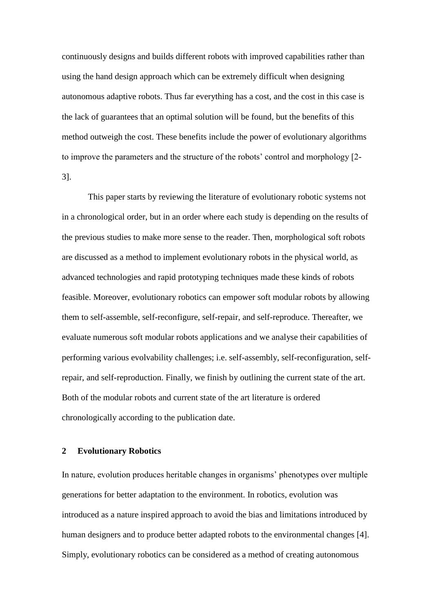continuously designs and builds different robots with improved capabilities rather than using the hand design approach which can be extremely difficult when designing autonomous adaptive robots. Thus far everything has a cost, and the cost in this case is the lack of guarantees that an optimal solution will be found, but the benefits of this method outweigh the cost. These benefits include the power of evolutionary algorithms to improve the parameters and the structure of the robots' control and morphology [2- 3].

This paper starts by reviewing the literature of evolutionary robotic systems not in a chronological order, but in an order where each study is depending on the results of the previous studies to make more sense to the reader. Then, morphological soft robots are discussed as a method to implement evolutionary robots in the physical world, as advanced technologies and rapid prototyping techniques made these kinds of robots feasible. Moreover, evolutionary robotics can empower soft modular robots by allowing them to self-assemble, self-reconfigure, self-repair, and self-reproduce. Thereafter, we evaluate numerous soft modular robots applications and we analyse their capabilities of performing various evolvability challenges; i.e. self-assembly, self-reconfiguration, selfrepair, and self-reproduction. Finally, we finish by outlining the current state of the art. Both of the modular robots and current state of the art literature is ordered chronologically according to the publication date.

## **2 Evolutionary Robotics**

In nature, evolution produces heritable changes in organisms' phenotypes over multiple generations for better adaptation to the environment. In robotics, evolution was introduced as a nature inspired approach to avoid the bias and limitations introduced by human designers and to produce better adapted robots to the environmental changes [4]. Simply, evolutionary robotics can be considered as a method of creating autonomous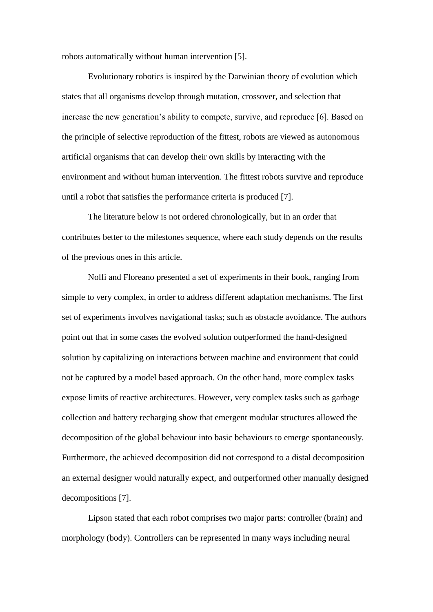robots automatically without human intervention [5].

Evolutionary robotics is inspired by the Darwinian theory of evolution which states that all organisms develop through mutation, crossover, and selection that increase the new generation's ability to compete, survive, and reproduce [6]. Based on the principle of selective reproduction of the fittest, robots are viewed as autonomous artificial organisms that can develop their own skills by interacting with the environment and without human intervention. The fittest robots survive and reproduce until a robot that satisfies the performance criteria is produced [7].

The literature below is not ordered chronologically, but in an order that contributes better to the milestones sequence, where each study depends on the results of the previous ones in this article.

Nolfi and Floreano presented a set of experiments in their book, ranging from simple to very complex, in order to address different adaptation mechanisms. The first set of experiments involves navigational tasks; such as obstacle avoidance. The authors point out that in some cases the evolved solution outperformed the hand-designed solution by capitalizing on interactions between machine and environment that could not be captured by a model based approach. On the other hand, more complex tasks expose limits of reactive architectures. However, very complex tasks such as garbage collection and battery recharging show that emergent modular structures allowed the decomposition of the global behaviour into basic behaviours to emerge spontaneously. Furthermore, the achieved decomposition did not correspond to a distal decomposition an external designer would naturally expect, and outperformed other manually designed decompositions [7].

Lipson stated that each robot comprises two major parts: controller (brain) and morphology (body). Controllers can be represented in many ways including neural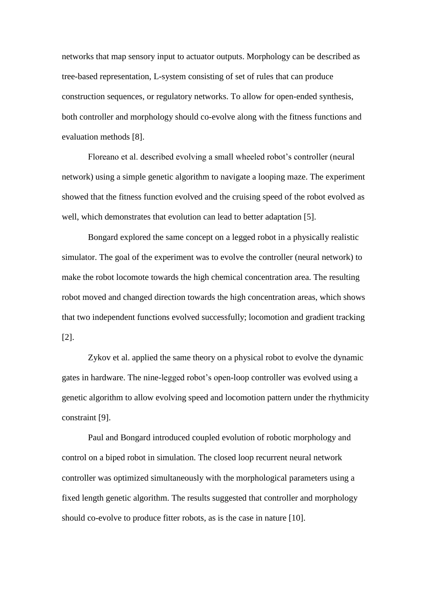networks that map sensory input to actuator outputs. Morphology can be described as tree-based representation, L-system consisting of set of rules that can produce construction sequences, or regulatory networks. To allow for open-ended synthesis, both controller and morphology should co-evolve along with the fitness functions and evaluation methods [8].

Floreano et al. described evolving a small wheeled robot's controller (neural network) using a simple genetic algorithm to navigate a looping maze. The experiment showed that the fitness function evolved and the cruising speed of the robot evolved as well, which demonstrates that evolution can lead to better adaptation [5].

Bongard explored the same concept on a legged robot in a physically realistic simulator. The goal of the experiment was to evolve the controller (neural network) to make the robot locomote towards the high chemical concentration area. The resulting robot moved and changed direction towards the high concentration areas, which shows that two independent functions evolved successfully; locomotion and gradient tracking [2].

Zykov et al. applied the same theory on a physical robot to evolve the dynamic gates in hardware. The nine-legged robot's open-loop controller was evolved using a genetic algorithm to allow evolving speed and locomotion pattern under the rhythmicity constraint [9].

Paul and Bongard introduced coupled evolution of robotic morphology and control on a biped robot in simulation. The closed loop recurrent neural network controller was optimized simultaneously with the morphological parameters using a fixed length genetic algorithm. The results suggested that controller and morphology should co-evolve to produce fitter robots, as is the case in nature [10].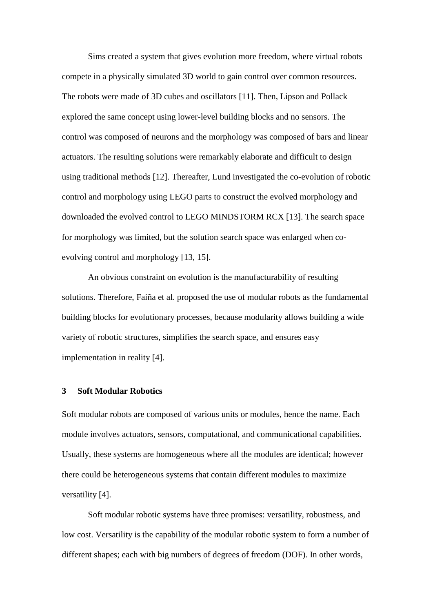Sims created a system that gives evolution more freedom, where virtual robots compete in a physically simulated 3D world to gain control over common resources. The robots were made of 3D cubes and oscillators [11]. Then, Lipson and Pollack explored the same concept using lower-level building blocks and no sensors. The control was composed of neurons and the morphology was composed of bars and linear actuators. The resulting solutions were remarkably elaborate and difficult to design using traditional methods [12]. Thereafter, Lund investigated the co-evolution of robotic control and morphology using LEGO parts to construct the evolved morphology and downloaded the evolved control to LEGO MINDSTORM RCX [13]. The search space for morphology was limited, but the solution search space was enlarged when coevolving control and morphology [13, 15].

An obvious constraint on evolution is the manufacturability of resulting solutions. Therefore, Faíña et al. proposed the use of modular robots as the fundamental building blocks for evolutionary processes, because modularity allows building a wide variety of robotic structures, simplifies the search space, and ensures easy implementation in reality [4].

#### **3 Soft Modular Robotics**

Soft modular robots are composed of various units or modules, hence the name. Each module involves actuators, sensors, computational, and communicational capabilities. Usually, these systems are homogeneous where all the modules are identical; however there could be heterogeneous systems that contain different modules to maximize versatility [4].

Soft modular robotic systems have three promises: versatility, robustness, and low cost. Versatility is the capability of the modular robotic system to form a number of different shapes; each with big numbers of degrees of freedom (DOF). In other words,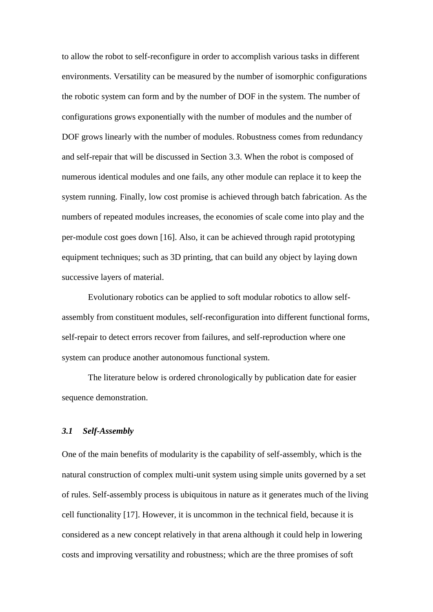to allow the robot to self-reconfigure in order to accomplish various tasks in different environments. Versatility can be measured by the number of isomorphic configurations the robotic system can form and by the number of DOF in the system. The number of configurations grows exponentially with the number of modules and the number of DOF grows linearly with the number of modules. Robustness comes from redundancy and self-repair that will be discussed in Section 3.3. When the robot is composed of numerous identical modules and one fails, any other module can replace it to keep the system running. Finally, low cost promise is achieved through batch fabrication. As the numbers of repeated modules increases, the economies of scale come into play and the per-module cost goes down [16]. Also, it can be achieved through rapid prototyping equipment techniques; such as 3D printing, that can build any object by laying down successive layers of material.

Evolutionary robotics can be applied to soft modular robotics to allow selfassembly from constituent modules, self-reconfiguration into different functional forms, self-repair to detect errors recover from failures, and self-reproduction where one system can produce another autonomous functional system.

The literature below is ordered chronologically by publication date for easier sequence demonstration.

## *3.1 Self-Assembly*

One of the main benefits of modularity is the capability of self-assembly, which is the natural construction of complex multi-unit system using simple units governed by a set of rules. Self-assembly process is ubiquitous in nature as it generates much of the living cell functionality [17]. However, it is uncommon in the technical field, because it is considered as a new concept relatively in that arena although it could help in lowering costs and improving versatility and robustness; which are the three promises of soft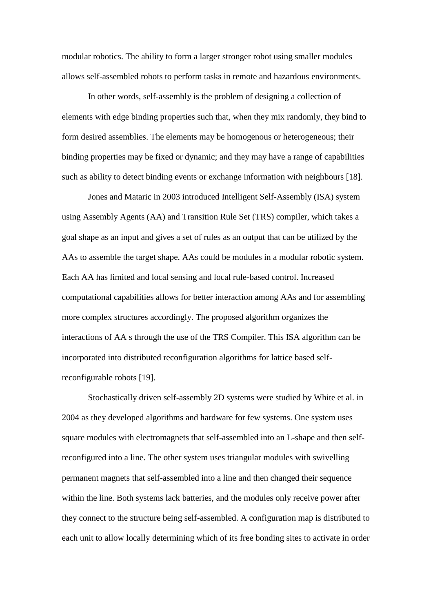modular robotics. The ability to form a larger stronger robot using smaller modules allows self-assembled robots to perform tasks in remote and hazardous environments.

In other words, self-assembly is the problem of designing a collection of elements with edge binding properties such that, when they mix randomly, they bind to form desired assemblies. The elements may be homogenous or heterogeneous; their binding properties may be fixed or dynamic; and they may have a range of capabilities such as ability to detect binding events or exchange information with neighbours [18].

Jones and Mataric in 2003 introduced Intelligent Self-Assembly (ISA) system using Assembly Agents (AA) and Transition Rule Set (TRS) compiler, which takes a goal shape as an input and gives a set of rules as an output that can be utilized by the AAs to assemble the target shape. AAs could be modules in a modular robotic system. Each AA has limited and local sensing and local rule-based control. Increased computational capabilities allows for better interaction among AAs and for assembling more complex structures accordingly. The proposed algorithm organizes the interactions of AA s through the use of the TRS Compiler. This ISA algorithm can be incorporated into distributed reconfiguration algorithms for lattice based selfreconfigurable robots [19].

Stochastically driven self-assembly 2D systems were studied by White et al. in 2004 as they developed algorithms and hardware for few systems. One system uses square modules with electromagnets that self-assembled into an L-shape and then selfreconfigured into a line. The other system uses triangular modules with swivelling permanent magnets that self-assembled into a line and then changed their sequence within the line. Both systems lack batteries, and the modules only receive power after they connect to the structure being self-assembled. A configuration map is distributed to each unit to allow locally determining which of its free bonding sites to activate in order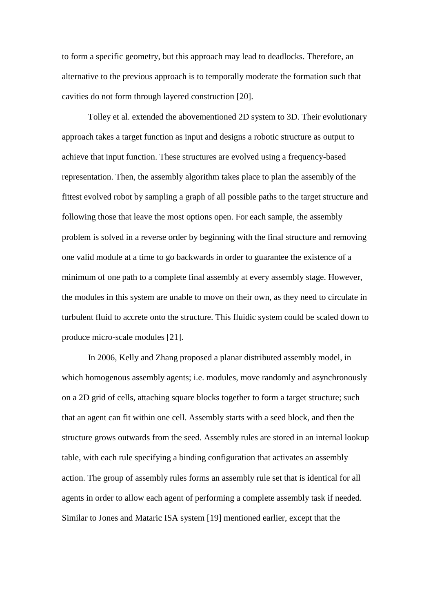to form a specific geometry, but this approach may lead to deadlocks. Therefore, an alternative to the previous approach is to temporally moderate the formation such that cavities do not form through layered construction [20].

Tolley et al. extended the abovementioned 2D system to 3D. Their evolutionary approach takes a target function as input and designs a robotic structure as output to achieve that input function. These structures are evolved using a frequency-based representation. Then, the assembly algorithm takes place to plan the assembly of the fittest evolved robot by sampling a graph of all possible paths to the target structure and following those that leave the most options open. For each sample, the assembly problem is solved in a reverse order by beginning with the final structure and removing one valid module at a time to go backwards in order to guarantee the existence of a minimum of one path to a complete final assembly at every assembly stage. However, the modules in this system are unable to move on their own, as they need to circulate in turbulent fluid to accrete onto the structure. This fluidic system could be scaled down to produce micro-scale modules [21].

In 2006, Kelly and Zhang proposed a planar distributed assembly model, in which homogenous assembly agents; i.e. modules, move randomly and asynchronously on a 2D grid of cells, attaching square blocks together to form a target structure; such that an agent can fit within one cell. Assembly starts with a seed block, and then the structure grows outwards from the seed. Assembly rules are stored in an internal lookup table, with each rule specifying a binding configuration that activates an assembly action. The group of assembly rules forms an assembly rule set that is identical for all agents in order to allow each agent of performing a complete assembly task if needed. Similar to Jones and Mataric ISA system [19] mentioned earlier, except that the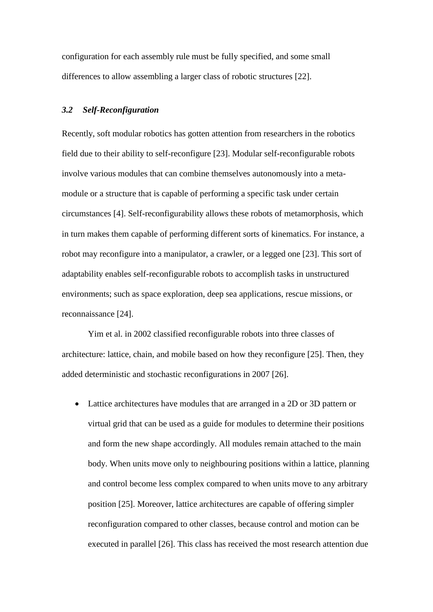configuration for each assembly rule must be fully specified, and some small differences to allow assembling a larger class of robotic structures [22].

## *3.2 Self-Reconfiguration*

Recently, soft modular robotics has gotten attention from researchers in the robotics field due to their ability to self-reconfigure [23]. Modular self-reconfigurable robots involve various modules that can combine themselves autonomously into a metamodule or a structure that is capable of performing a specific task under certain circumstances [4]. Self-reconfigurability allows these robots of metamorphosis, which in turn makes them capable of performing different sorts of kinematics. For instance, a robot may reconfigure into a manipulator, a crawler, or a legged one [23]. This sort of adaptability enables self-reconfigurable robots to accomplish tasks in unstructured environments; such as space exploration, deep sea applications, rescue missions, or reconnaissance [24].

Yim et al. in 2002 classified reconfigurable robots into three classes of architecture: lattice, chain, and mobile based on how they reconfigure [25]. Then, they added deterministic and stochastic reconfigurations in 2007 [26].

 Lattice architectures have modules that are arranged in a 2D or 3D pattern or virtual grid that can be used as a guide for modules to determine their positions and form the new shape accordingly. All modules remain attached to the main body. When units move only to neighbouring positions within a lattice, planning and control become less complex compared to when units move to any arbitrary position [25]. Moreover, lattice architectures are capable of offering simpler reconfiguration compared to other classes, because control and motion can be executed in parallel [26]. This class has received the most research attention due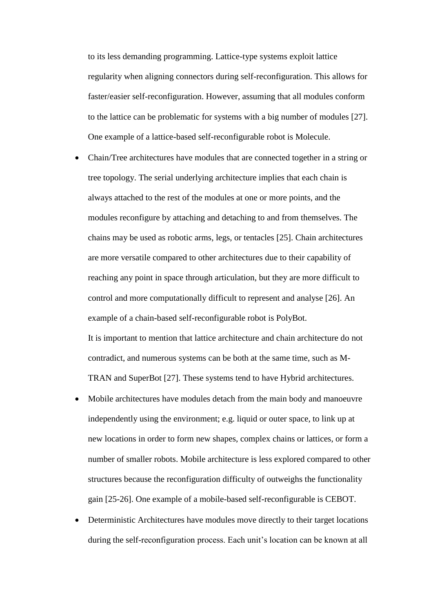to its less demanding programming. Lattice-type systems exploit lattice regularity when aligning connectors during self-reconfiguration. This allows for faster/easier self-reconfiguration. However, assuming that all modules conform to the lattice can be problematic for systems with a big number of modules [27]. One example of a lattice-based self-reconfigurable robot is Molecule.

- Chain/Tree architectures have modules that are connected together in a string or tree topology. The serial underlying architecture implies that each chain is always attached to the rest of the modules at one or more points, and the modules reconfigure by attaching and detaching to and from themselves. The chains may be used as robotic arms, legs, or tentacles [25]. Chain architectures are more versatile compared to other architectures due to their capability of reaching any point in space through articulation, but they are more difficult to control and more computationally difficult to represent and analyse [26]. An example of a chain-based self-reconfigurable robot is PolyBot. It is important to mention that lattice architecture and chain architecture do not contradict, and numerous systems can be both at the same time, such as M-
	- TRAN and SuperBot [27]. These systems tend to have Hybrid architectures.
- Mobile architectures have modules detach from the main body and manoeuvre independently using the environment; e.g. liquid or outer space, to link up at new locations in order to form new shapes, complex chains or lattices, or form a number of smaller robots. Mobile architecture is less explored compared to other structures because the reconfiguration difficulty of outweighs the functionality gain [25-26]. One example of a mobile-based self-reconfigurable is CEBOT.
- Deterministic Architectures have modules move directly to their target locations during the self-reconfiguration process. Each unit's location can be known at all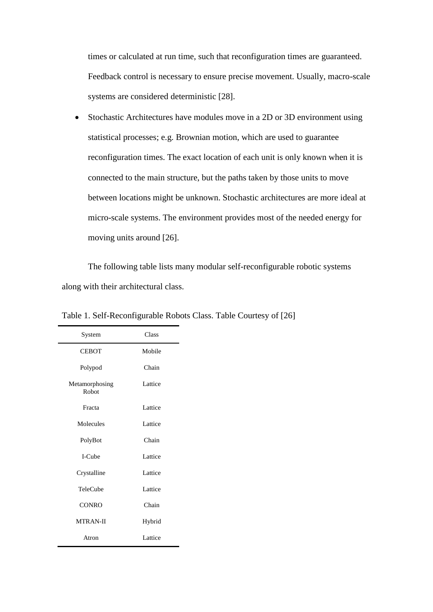times or calculated at run time, such that reconfiguration times are guaranteed. Feedback control is necessary to ensure precise movement. Usually, macro-scale systems are considered deterministic [28].

 Stochastic Architectures have modules move in a 2D or 3D environment using statistical processes; e.g. Brownian motion, which are used to guarantee reconfiguration times. The exact location of each unit is only known when it is connected to the main structure, but the paths taken by those units to move between locations might be unknown. Stochastic architectures are more ideal at micro-scale systems. The environment provides most of the needed energy for moving units around [26].

The following table lists many modular self-reconfigurable robotic systems along with their architectural class.

| System                  | Class   |
|-------------------------|---------|
| <b>CEBOT</b>            | Mobile  |
| Polypod                 | Chain   |
| Metamorphosing<br>Robot | Lattice |
| Fracta                  | Lattice |
| Molecules               | Lattice |
| PolyBot                 | Chain   |
| I-Cube                  | Lattice |
| Crystalline             | Lattice |
| TeleCube                | Lattice |
| <b>CONRO</b>            | Chain   |
| <b>MTRAN-II</b>         | Hybrid  |
| Atron                   | Lattice |

Table 1. Self-Reconfigurable Robots Class. Table Courtesy of [26]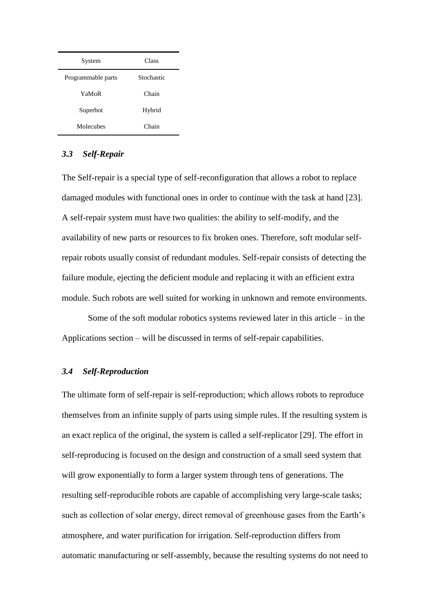| System             | Class      |
|--------------------|------------|
| Programmable parts | Stochastic |
| YaMoR              | Chain      |
| Superbot           | Hybrid     |
| Molecubes          | Chain      |

## *3.3 Self-Repair*

The Self-repair is a special type of self-reconfiguration that allows a robot to replace damaged modules with functional ones in order to continue with the task at hand [23]. A self-repair system must have two qualities: the ability to self-modify, and the availability of new parts or resources to fix broken ones. Therefore, soft modular selfrepair robots usually consist of redundant modules. Self-repair consists of detecting the failure module, ejecting the deficient module and replacing it with an efficient extra module. Such robots are well suited for working in unknown and remote environments.

Some of the soft modular robotics systems reviewed later in this article – in the Applications section – will be discussed in terms of self-repair capabilities.

## *3.4 Self-Reproduction*

The ultimate form of self-repair is self-reproduction; which allows robots to reproduce themselves from an infinite supply of parts using simple rules. If the resulting system is an exact replica of the original, the system is called a self-replicator [29]. The effort in self-reproducing is focused on the design and construction of a small seed system that will grow exponentially to form a larger system through tens of generations. The resulting self-reproducible robots are capable of accomplishing very large-scale tasks; such as collection of solar energy, direct removal of greenhouse gases from the Earth's atmosphere, and water purification for irrigation. Self-reproduction differs from automatic manufacturing or self-assembly, because the resulting systems do not need to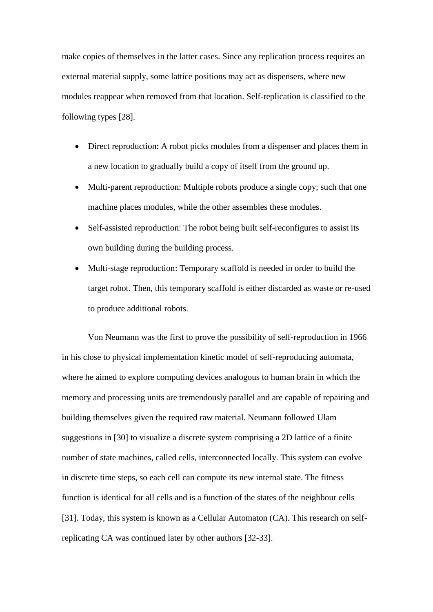make copies of themselves in the latter cases. Since any replication process requires an external material supply, some lattice positions may act as dispensers, where new modules reappear when removed from that location. Self-replication is classified to the following types [28].

- Direct reproduction: A robot picks modules from a dispenser and places them in a new location to gradually build a copy of itself from the ground up.
- Multi-parent reproduction: Multiple robots produce a single copy; such that one machine places modules, while the other assembles these modules.
- Self-assisted reproduction: The robot being built self-reconfigures to assist its own building during the building process.
- Multi-stage reproduction: Temporary scaffold is needed in order to build the target robot. Then, this temporary scaffold is either discarded as waste or re-used to produce additional robots.

Von Neumann was the first to prove the possibility of self-reproduction in 1966 in his close to physical implementation kinetic model of self-reproducing automata, where he aimed to explore computing devices analogous to human brain in which the memory and processing units are tremendously parallel and are capable of repairing and building themselves given the required raw material. Neumann followed Ulam suggestions in [30] to visualize a discrete system comprising a 2D lattice of a finite number of state machines, called cells, interconnected locally. This system can evolve in discrete time steps, so each cell can compute its new internal state. The fitness function is identical for all cells and is a function of the states of the neighbour cells [31]. Today, this system is known as a Cellular Automaton (CA). This research on selfreplicating CA was continued later by other authors [32-33].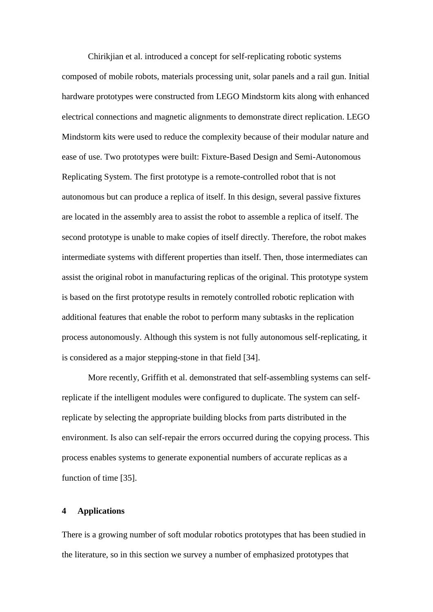Chirikjian et al. introduced a concept for self-replicating robotic systems composed of mobile robots, materials processing unit, solar panels and a rail gun. Initial hardware prototypes were constructed from LEGO Mindstorm kits along with enhanced electrical connections and magnetic alignments to demonstrate direct replication. LEGO Mindstorm kits were used to reduce the complexity because of their modular nature and ease of use. Two prototypes were built: Fixture-Based Design and Semi-Autonomous Replicating System. The first prototype is a remote-controlled robot that is not autonomous but can produce a replica of itself. In this design, several passive fixtures are located in the assembly area to assist the robot to assemble a replica of itself. The second prototype is unable to make copies of itself directly. Therefore, the robot makes intermediate systems with different properties than itself. Then, those intermediates can assist the original robot in manufacturing replicas of the original. This prototype system is based on the first prototype results in remotely controlled robotic replication with additional features that enable the robot to perform many subtasks in the replication process autonomously. Although this system is not fully autonomous self-replicating, it is considered as a major stepping-stone in that field [34].

More recently, Griffith et al. demonstrated that self-assembling systems can selfreplicate if the intelligent modules were configured to duplicate. The system can selfreplicate by selecting the appropriate building blocks from parts distributed in the environment. Is also can self-repair the errors occurred during the copying process. This process enables systems to generate exponential numbers of accurate replicas as a function of time [35].

## **4 Applications**

There is a growing number of soft modular robotics prototypes that has been studied in the literature, so in this section we survey a number of emphasized prototypes that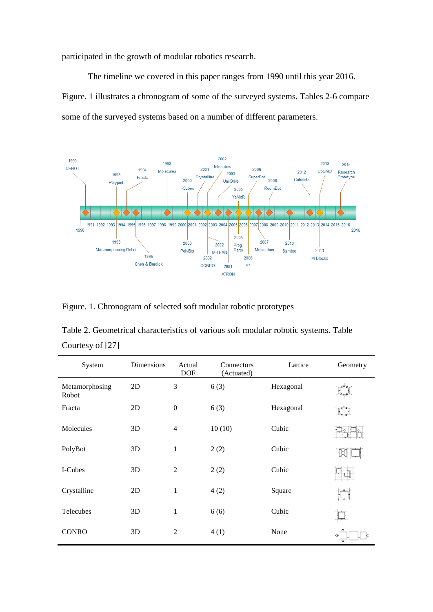participated in the growth of modular robotics research.

The timeline we covered in this paper ranges from 1990 until this year 2016. Figure. 1 illustrates a chronogram of some of the surveyed systems. Tables 2-6 compare some of the surveyed systems based on a number of different parameters.



Figure. 1. Chronogram of selected soft modular robotic prototypes

| Table 2. Geometrical characteristics of various soft modular robotic systems. Table |  |
|-------------------------------------------------------------------------------------|--|
| Courtesy of [27]                                                                    |  |

| System                  | Dimensions | Actual<br><b>DOF</b> | Connectors<br>(Actuated) | Lattice   | Geometry |
|-------------------------|------------|----------------------|--------------------------|-----------|----------|
| Metamorphosing<br>Robot | 2D         | 3                    | 6(3)                     | Hexagonal |          |
| Fracta                  | 2D         | $\overline{0}$       | 6(3)                     | Hexagonal |          |
| Molecules               | 3D         | $\overline{4}$       | 10(10)                   | Cubic     |          |
| PolyBot                 | 3D         | $\mathbf{1}$         | 2(2)                     | Cubic     |          |
| I-Cubes                 | 3D         | $\overline{2}$       | 2(2)                     | Cubic     |          |
| Crystalline             | 2D         | $\mathbf{1}$         | 4(2)                     | Square    |          |
| Telecubes               | 3D         | $\mathbf{1}$         | 6(6)                     | Cubic     |          |
| <b>CONRO</b>            | 3D         | 2                    | 4(1)                     | None      | оł       |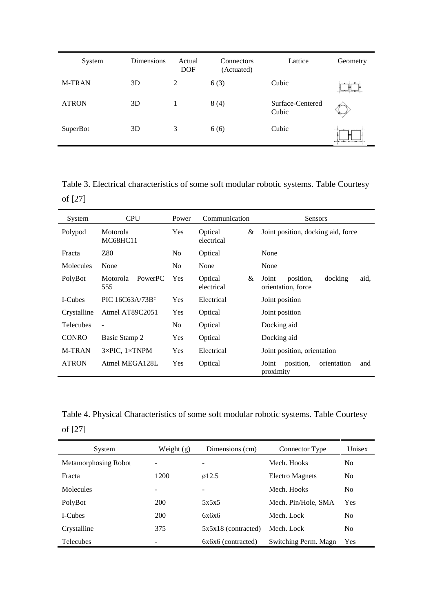| System        | Dimensions | Actual<br><b>DOF</b> | Connectors<br>(Actuated) | Lattice                   | Geometry |
|---------------|------------|----------------------|--------------------------|---------------------------|----------|
| <b>M-TRAN</b> | 3D         | 2                    | 6(3)                     | Cubic                     |          |
| <b>ATRON</b>  | 3D         |                      | 8(4)                     | Surface-Centered<br>Cubic |          |
| SuperBot      | 3D         | 3                    | 6(6)                     | Cubic                     |          |

Table 3. Electrical characteristics of some soft modular robotic systems. Table Courtesy of [27]

| System           | <b>CPU</b>                        | Power          | Communication              | Sensors                                                     |
|------------------|-----------------------------------|----------------|----------------------------|-------------------------------------------------------------|
| Polypod          | Motorola<br><b>MC68HC11</b>       | <b>Yes</b>     | Optical<br>&<br>electrical | Joint position, docking aid, force                          |
| Fracta           | Z80                               | N <sub>0</sub> | Optical                    | None                                                        |
| Molecules        | None                              | N <sub>0</sub> | None                       | None                                                        |
| PolyBot          | <b>PowerPC</b><br>Motorola<br>555 | <b>Yes</b>     | Optical<br>&<br>electrical | docking<br>Joint<br>position,<br>aid.<br>orientation, force |
| I-Cubes          | PIC $16C63A/73Bc$                 | Yes            | Electrical                 | Joint position                                              |
| Crystalline      | Atmel AT89C2051                   | Yes            | Optical                    | Joint position                                              |
| <b>Telecubes</b> | $\overline{\phantom{a}}$          | N <sub>0</sub> | Optical                    | Docking aid                                                 |
| <b>CONRO</b>     | Basic Stamp 2                     | <b>Yes</b>     | Optical                    | Docking aid                                                 |
| <b>M-TRAN</b>    | $3\times$ PIC, $1\times$ TNPM     | Yes            | Electrical                 | Joint position, orientation                                 |
| <b>ATRON</b>     | Atmel MEGA128L                    | Yes            | Optical                    | position,<br>orientation<br>Joint<br>and<br>proximity       |

Table 4. Physical Characteristics of some soft modular robotic systems. Table Courtesy of [27]

| System               | Weight $(g)$ | Dimensions (cm)       | Connector Type         | Unisex         |
|----------------------|--------------|-----------------------|------------------------|----------------|
| Metamorphosing Robot |              | -                     | Mech. Hooks            | N <sub>0</sub> |
| Fracta               | 1200         | $\varphi$ 12.5        | <b>Electro Magnets</b> | N <sub>0</sub> |
| <b>Molecules</b>     | -            |                       | Mech. Hooks            | N <sub>0</sub> |
| PolyBot              | 200          | 5x5x5                 | Mech. Pin/Hole, SMA    | Yes            |
| I-Cubes              | <b>200</b>   | 6x6x6                 | Mech. Lock             | N <sub>0</sub> |
| Crystalline          | 375          | $5x5x18$ (contracted) | Mech. Lock             | N <sub>0</sub> |
| Telecubes            |              | 6x6x6 (contracted)    | Switching Perm. Magn   | Yes            |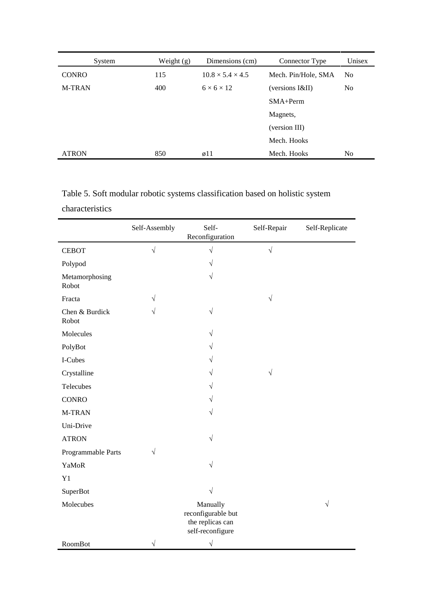| System        | Weight $(g)$ | Dimensions (cm)              | Connector Type      | Unisex         |
|---------------|--------------|------------------------------|---------------------|----------------|
| <b>CONRO</b>  | 115          | $10.8 \times 5.4 \times 4.5$ | Mech. Pin/Hole, SMA | N <sub>0</sub> |
| <b>M-TRAN</b> | 400          | $6 \times 6 \times 12$       | (versions I&II)     | N <sub>0</sub> |
|               |              |                              | $SMA+Perm$          |                |
|               |              |                              | Magnets,            |                |
|               |              |                              | (version III)       |                |
|               |              |                              | Mech. Hooks         |                |
| <b>ATRON</b>  | 850          | $\varnothing$ 11             | Mech. Hooks         | N <sub>0</sub> |

Table 5. Soft modular robotic systems classification based on holistic system characteristics

|                         | Self-Assembly | Self-<br>Reconfiguration                                               | Self-Repair | Self-Replicate |
|-------------------------|---------------|------------------------------------------------------------------------|-------------|----------------|
| <b>CEBOT</b>            | $\sqrt{2}$    | $\sqrt{ }$                                                             | $\sqrt{2}$  |                |
| Polypod                 |               | $\sqrt{}$                                                              |             |                |
| Metamorphosing<br>Robot |               | $\sqrt{ }$                                                             |             |                |
| Fracta                  | $\sqrt{}$     |                                                                        | $\sqrt{ }$  |                |
| Chen & Burdick<br>Robot | $\sqrt{}$     | $\sqrt{ }$                                                             |             |                |
| Molecules               |               | $\sqrt{}$                                                              |             |                |
| PolyBot                 |               | $\sqrt{}$                                                              |             |                |
| I-Cubes                 |               | V                                                                      |             |                |
| Crystalline             |               | $\sqrt{}$                                                              | $\sqrt{}$   |                |
| Telecubes               |               | $\sqrt{}$                                                              |             |                |
| <b>CONRO</b>            |               | $\sqrt{}$                                                              |             |                |
| M-TRAN                  |               | V                                                                      |             |                |
| Uni-Drive               |               |                                                                        |             |                |
| <b>ATRON</b>            |               | $\sqrt{2}$                                                             |             |                |
| Programmable Parts      | $\sqrt{}$     |                                                                        |             |                |
| YaMoR                   |               | $\sqrt{2}$                                                             |             |                |
| Y1                      |               |                                                                        |             |                |
| <b>SuperBot</b>         |               | $\sqrt{ }$                                                             |             |                |
| Molecubes               |               | Manually<br>reconfigurable but<br>the replicas can<br>self-reconfigure |             | $\sqrt{ }$     |
| RoomBot                 | $\sqrt{2}$    | $\sqrt{ }$                                                             |             |                |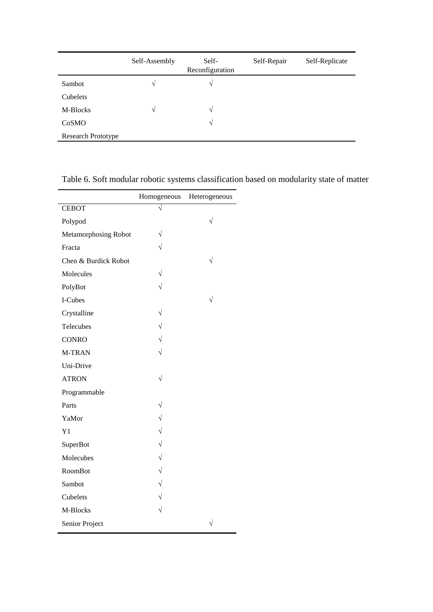|                           | Self-Assembly | Self-<br>Reconfiguration | Self-Repair | Self-Replicate |
|---------------------------|---------------|--------------------------|-------------|----------------|
| Sambot                    | V             | $\sqrt{ }$               |             |                |
| Cubelets                  |               |                          |             |                |
| M-Blocks                  | $\sqrt{ }$    | V                        |             |                |
| CoSMO                     |               | $\sqrt{}$                |             |                |
| <b>Research Prototype</b> |               |                          |             |                |

Table 6. Soft modular robotic systems classification based on modularity state of matter

|                      | Homogeneous | Heterogeneous |
|----------------------|-------------|---------------|
| <b>CEBOT</b>         |             |               |
| Polypod              |             | $\sqrt{}$     |
| Metamorphosing Robot | V           |               |
| Fracta               |             |               |
| Chen & Burdick Robot |             |               |
| Molecules            |             |               |
| PolyBot              | $\sqrt{ }$  |               |
| I-Cubes              |             |               |
| Crystalline          |             |               |
| Telecubes            | $\sqrt{}$   |               |
| <b>CONRO</b>         | $\sqrt{ }$  |               |
| M-TRAN               |             |               |
| Uni-Drive            |             |               |
| <b>ATRON</b>         | V           |               |
| Programmable         |             |               |
| Parts                | V           |               |
| YaMor                | $\sqrt{}$   |               |
| Y <sub>1</sub>       | $\sqrt{}$   |               |
| SuperBot             | $\sqrt{}$   |               |
| Molecubes            | $\sqrt{}$   |               |
| RoomBot              | $\sqrt{}$   |               |
| Sambot               | $\sqrt{}$   |               |
| Cubelets             | $\sqrt{}$   |               |
| M-Blocks             |             |               |
| Senior Project       |             |               |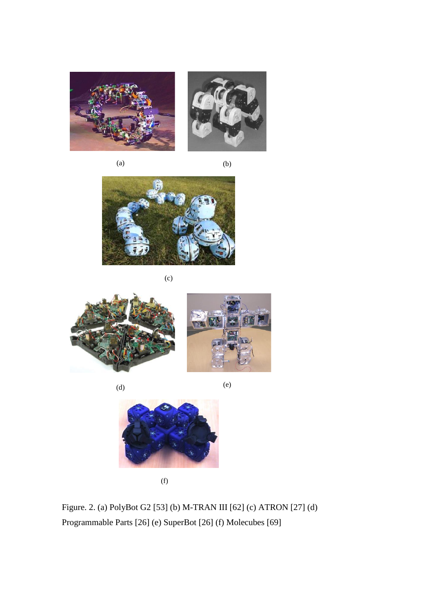

 $(a)$  (b)





(c)



 $(d)$  (e)





(f)

Figure. 2. (a) PolyBot G2 [53] (b) M-TRAN III [62] (c) ATRON [27] (d) Programmable Parts [26] (e) SuperBot [26] (f) Molecubes [69]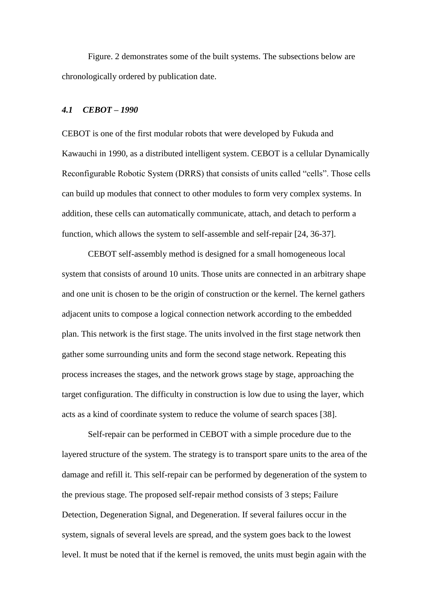Figure. 2 demonstrates some of the built systems. The subsections below are chronologically ordered by publication date.

# *4.1 CEBOT – 1990*

CEBOT is one of the first modular robots that were developed by Fukuda and Kawauchi in 1990, as a distributed intelligent system. CEBOT is a cellular Dynamically Reconfigurable Robotic System (DRRS) that consists of units called "cells". Those cells can build up modules that connect to other modules to form very complex systems. In addition, these cells can automatically communicate, attach, and detach to perform a function, which allows the system to self-assemble and self-repair [24, 36-37].

CEBOT self-assembly method is designed for a small homogeneous local system that consists of around 10 units. Those units are connected in an arbitrary shape and one unit is chosen to be the origin of construction or the kernel. The kernel gathers adjacent units to compose a logical connection network according to the embedded plan. This network is the first stage. The units involved in the first stage network then gather some surrounding units and form the second stage network. Repeating this process increases the stages, and the network grows stage by stage, approaching the target configuration. The difficulty in construction is low due to using the layer, which acts as a kind of coordinate system to reduce the volume of search spaces [38].

Self-repair can be performed in CEBOT with a simple procedure due to the layered structure of the system. The strategy is to transport spare units to the area of the damage and refill it. This self-repair can be performed by degeneration of the system to the previous stage. The proposed self-repair method consists of 3 steps; Failure Detection, Degeneration Signal, and Degeneration. If several failures occur in the system, signals of several levels are spread, and the system goes back to the lowest level. It must be noted that if the kernel is removed, the units must begin again with the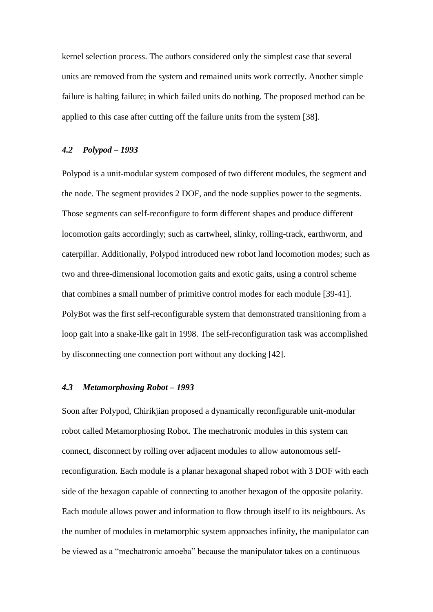kernel selection process. The authors considered only the simplest case that several units are removed from the system and remained units work correctly. Another simple failure is halting failure; in which failed units do nothing. The proposed method can be applied to this case after cutting off the failure units from the system [38].

# *4.2 Polypod – 1993*

Polypod is a unit-modular system composed of two different modules, the segment and the node. The segment provides 2 DOF, and the node supplies power to the segments. Those segments can self-reconfigure to form different shapes and produce different locomotion gaits accordingly; such as cartwheel, slinky, rolling-track, earthworm, and caterpillar. Additionally, Polypod introduced new robot land locomotion modes; such as two and three-dimensional locomotion gaits and exotic gaits, using a control scheme that combines a small number of primitive control modes for each module [39-41]. PolyBot was the first self-reconfigurable system that demonstrated transitioning from a loop gait into a snake-like gait in 1998. The self-reconfiguration task was accomplished by disconnecting one connection port without any docking [42].

# *4.3 Metamorphosing Robot – 1993*

Soon after Polypod, Chirikjian proposed a dynamically reconfigurable unit-modular robot called Metamorphosing Robot. The mechatronic modules in this system can connect, disconnect by rolling over adjacent modules to allow autonomous selfreconfiguration. Each module is a planar hexagonal shaped robot with 3 DOF with each side of the hexagon capable of connecting to another hexagon of the opposite polarity. Each module allows power and information to flow through itself to its neighbours. As the number of modules in metamorphic system approaches infinity, the manipulator can be viewed as a "mechatronic amoeba" because the manipulator takes on a continuous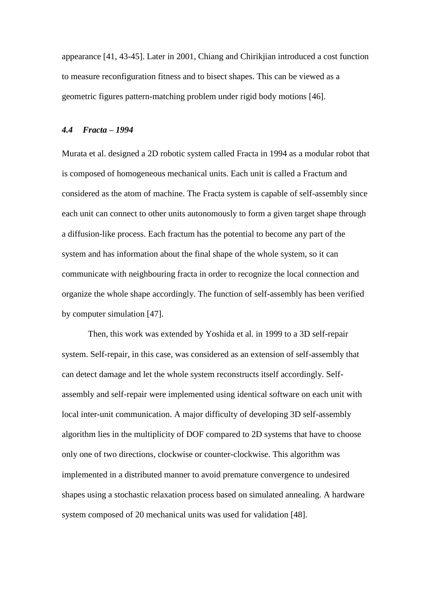appearance [41, 43-45]. Later in 2001, Chiang and Chirikjian introduced a cost function to measure reconfiguration fitness and to bisect shapes. This can be viewed as a geometric figures pattern-matching problem under rigid body motions [46].

## *4.4 Fracta – 1994*

Murata et al. designed a 2D robotic system called Fracta in 1994 as a modular robot that is composed of homogeneous mechanical units. Each unit is called a Fractum and considered as the atom of machine. The Fracta system is capable of self-assembly since each unit can connect to other units autonomously to form a given target shape through a diffusion-like process. Each fractum has the potential to become any part of the system and has information about the final shape of the whole system, so it can communicate with neighbouring fracta in order to recognize the local connection and organize the whole shape accordingly. The function of self-assembly has been verified by computer simulation [47].

Then, this work was extended by Yoshida et al. in 1999 to a 3D self-repair system. Self-repair, in this case, was considered as an extension of self-assembly that can detect damage and let the whole system reconstructs itself accordingly. Selfassembly and self-repair were implemented using identical software on each unit with local inter-unit communication. A major difficulty of developing 3D self-assembly algorithm lies in the multiplicity of DOF compared to 2D systems that have to choose only one of two directions, clockwise or counter-clockwise. This algorithm was implemented in a distributed manner to avoid premature convergence to undesired shapes using a stochastic relaxation process based on simulated annealing. A hardware system composed of 20 mechanical units was used for validation [48].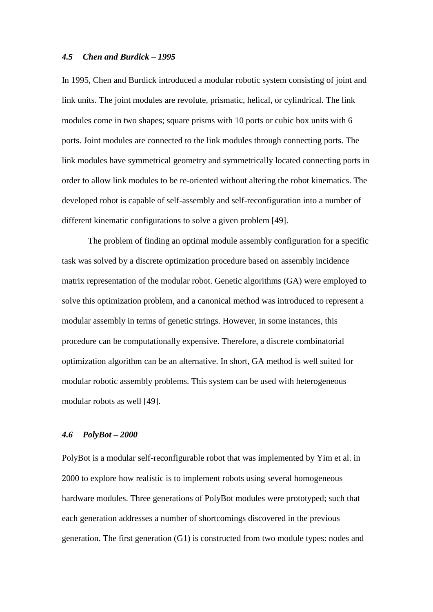#### *4.5 Chen and Burdick – 1995*

In 1995, Chen and Burdick introduced a modular robotic system consisting of joint and link units. The joint modules are revolute, prismatic, helical, or cylindrical. The link modules come in two shapes; square prisms with 10 ports or cubic box units with 6 ports. Joint modules are connected to the link modules through connecting ports. The link modules have symmetrical geometry and symmetrically located connecting ports in order to allow link modules to be re-oriented without altering the robot kinematics. The developed robot is capable of self-assembly and self-reconfiguration into a number of different kinematic configurations to solve a given problem [49].

The problem of finding an optimal module assembly configuration for a specific task was solved by a discrete optimization procedure based on assembly incidence matrix representation of the modular robot. Genetic algorithms (GA) were employed to solve this optimization problem, and a canonical method was introduced to represent a modular assembly in terms of genetic strings. However, in some instances, this procedure can be computationally expensive. Therefore, a discrete combinatorial optimization algorithm can be an alternative. In short, GA method is well suited for modular robotic assembly problems. This system can be used with heterogeneous modular robots as well [49].

# *4.6 PolyBot – 2000*

PolyBot is a modular self-reconfigurable robot that was implemented by Yim et al. in 2000 to explore how realistic is to implement robots using several homogeneous hardware modules. Three generations of PolyBot modules were prototyped; such that each generation addresses a number of shortcomings discovered in the previous generation. The first generation (G1) is constructed from two module types: nodes and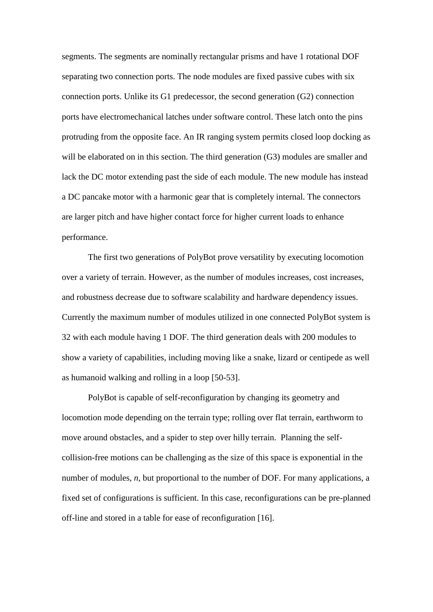segments. The segments are nominally rectangular prisms and have 1 rotational DOF separating two connection ports. The node modules are fixed passive cubes with six connection ports. Unlike its G1 predecessor, the second generation (G2) connection ports have electromechanical latches under software control. These latch onto the pins protruding from the opposite face. An IR ranging system permits closed loop docking as will be elaborated on in this section. The third generation (G3) modules are smaller and lack the DC motor extending past the side of each module. The new module has instead a DC pancake motor with a harmonic gear that is completely internal. The connectors are larger pitch and have higher contact force for higher current loads to enhance performance.

The first two generations of PolyBot prove versatility by executing locomotion over a variety of terrain. However, as the number of modules increases, cost increases, and robustness decrease due to software scalability and hardware dependency issues. Currently the maximum number of modules utilized in one connected PolyBot system is 32 with each module having 1 DOF. The third generation deals with 200 modules to show a variety of capabilities, including moving like a snake, lizard or centipede as well as humanoid walking and rolling in a loop [50-53].

PolyBot is capable of self-reconfiguration by changing its geometry and locomotion mode depending on the terrain type; rolling over flat terrain, earthworm to move around obstacles, and a spider to step over hilly terrain. Planning the selfcollision-free motions can be challenging as the size of this space is exponential in the number of modules, *n*, but proportional to the number of DOF. For many applications, a fixed set of configurations is sufficient. In this case, reconfigurations can be pre-planned off-line and stored in a table for ease of reconfiguration [16].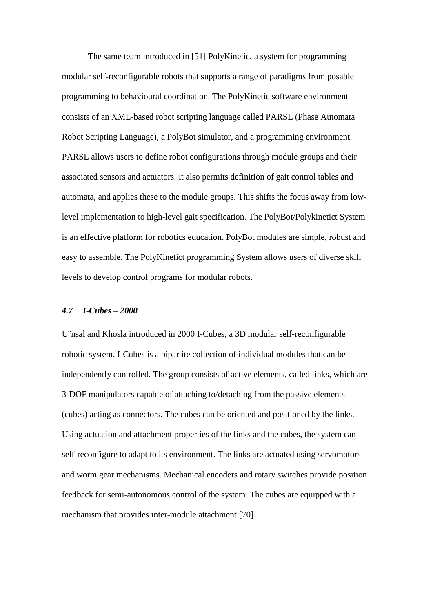The same team introduced in [51] PolyKinetic, a system for programming modular self-reconfigurable robots that supports a range of paradigms from posable programming to behavioural coordination. The PolyKinetic software environment consists of an XML-based robot scripting language called PARSL (Phase Automata Robot Scripting Language), a PolyBot simulator, and a programming environment. PARSL allows users to define robot configurations through module groups and their associated sensors and actuators. It also permits definition of gait control tables and automata, and applies these to the module groups. This shifts the focus away from lowlevel implementation to high-level gait specification. The PolyBot/Polykinetict System is an effective platform for robotics education. PolyBot modules are simple, robust and easy to assemble. The PolyKinetict programming System allows users of diverse skill levels to develop control programs for modular robots.

### *4.7 I-Cubes – 2000*

U¨nsal and Khosla introduced in 2000 I-Cubes, a 3D modular self-reconfigurable robotic system. I-Cubes is a bipartite collection of individual modules that can be independently controlled. The group consists of active elements, called links, which are 3-DOF manipulators capable of attaching to/detaching from the passive elements (cubes) acting as connectors. The cubes can be oriented and positioned by the links. Using actuation and attachment properties of the links and the cubes, the system can self-reconfigure to adapt to its environment. The links are actuated using servomotors and worm gear mechanisms. Mechanical encoders and rotary switches provide position feedback for semi-autonomous control of the system. The cubes are equipped with a mechanism that provides inter-module attachment [70].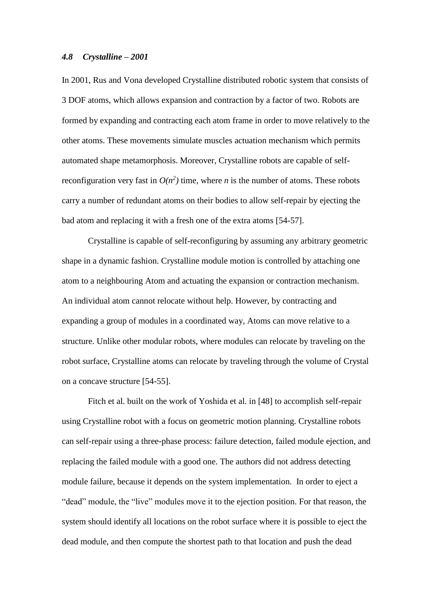#### *4.8 Crystalline – 2001*

In 2001, Rus and Vona developed Crystalline distributed robotic system that consists of 3 DOF atoms, which allows expansion and contraction by a factor of two. Robots are formed by expanding and contracting each atom frame in order to move relatively to the other atoms. These movements simulate muscles actuation mechanism which permits automated shape metamorphosis. Moreover, Crystalline robots are capable of selfreconfiguration very fast in  $O(n^2)$  time, where *n* is the number of atoms. These robots carry a number of redundant atoms on their bodies to allow self-repair by ejecting the bad atom and replacing it with a fresh one of the extra atoms [54-57].

Crystalline is capable of self-reconfiguring by assuming any arbitrary geometric shape in a dynamic fashion. Crystalline module motion is controlled by attaching one atom to a neighbouring Atom and actuating the expansion or contraction mechanism. An individual atom cannot relocate without help. However, by contracting and expanding a group of modules in a coordinated way, Atoms can move relative to a structure. Unlike other modular robots, where modules can relocate by traveling on the robot surface, Crystalline atoms can relocate by traveling through the volume of Crystal on a concave structure [54-55].

Fitch et al. built on the work of Yoshida et al. in [48] to accomplish self-repair using Crystalline robot with a focus on geometric motion planning. Crystalline robots can self-repair using a three-phase process: failure detection, failed module ejection, and replacing the failed module with a good one. The authors did not address detecting module failure, because it depends on the system implementation. In order to eject a "dead" module, the "live" modules move it to the ejection position. For that reason, the system should identify all locations on the robot surface where it is possible to eject the dead module, and then compute the shortest path to that location and push the dead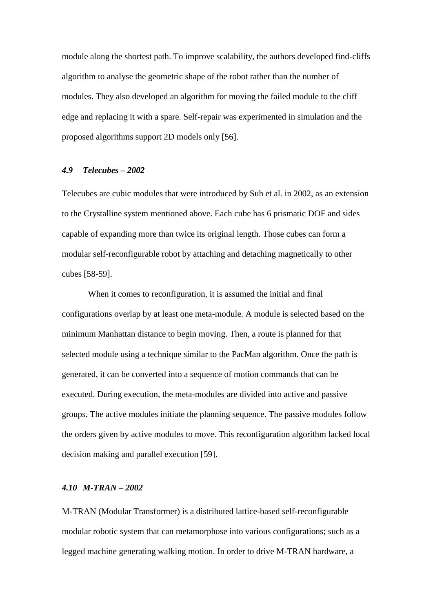module along the shortest path. To improve scalability, the authors developed find-cliffs algorithm to analyse the geometric shape of the robot rather than the number of modules. They also developed an algorithm for moving the failed module to the cliff edge and replacing it with a spare. Self-repair was experimented in simulation and the proposed algorithms support 2D models only [56].

#### *4.9 Telecubes – 2002*

Telecubes are cubic modules that were introduced by Suh et al. in 2002, as an extension to the Crystalline system mentioned above. Each cube has 6 prismatic DOF and sides capable of expanding more than twice its original length. Those cubes can form a modular self-reconfigurable robot by attaching and detaching magnetically to other cubes [58-59].

When it comes to reconfiguration, it is assumed the initial and final configurations overlap by at least one meta-module. A module is selected based on the minimum Manhattan distance to begin moving. Then, a route is planned for that selected module using a technique similar to the PacMan algorithm. Once the path is generated, it can be converted into a sequence of motion commands that can be executed. During execution, the meta-modules are divided into active and passive groups. The active modules initiate the planning sequence. The passive modules follow the orders given by active modules to move. This reconfiguration algorithm lacked local decision making and parallel execution [59].

#### *4.10 M-TRAN – 2002*

M-TRAN (Modular Transformer) is a distributed lattice-based self-reconfigurable modular robotic system that can metamorphose into various configurations; such as a legged machine generating walking motion. In order to drive M-TRAN hardware, a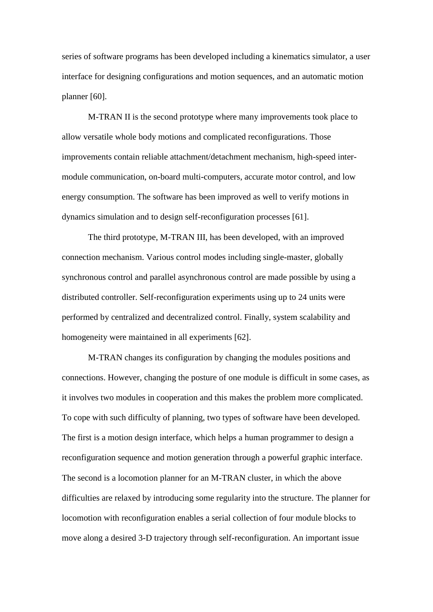series of software programs has been developed including a kinematics simulator, a user interface for designing configurations and motion sequences, and an automatic motion planner [60].

M-TRAN II is the second prototype where many improvements took place to allow versatile whole body motions and complicated reconfigurations. Those improvements contain reliable attachment/detachment mechanism, high-speed intermodule communication, on-board multi-computers, accurate motor control, and low energy consumption. The software has been improved as well to verify motions in dynamics simulation and to design self-reconfiguration processes [61].

The third prototype, M-TRAN III, has been developed, with an improved connection mechanism. Various control modes including single-master, globally synchronous control and parallel asynchronous control are made possible by using a distributed controller. Self-reconfiguration experiments using up to 24 units were performed by centralized and decentralized control. Finally, system scalability and homogeneity were maintained in all experiments [62].

M-TRAN changes its configuration by changing the modules positions and connections. However, changing the posture of one module is difficult in some cases, as it involves two modules in cooperation and this makes the problem more complicated. To cope with such difficulty of planning, two types of software have been developed. The first is a motion design interface, which helps a human programmer to design a reconfiguration sequence and motion generation through a powerful graphic interface. The second is a locomotion planner for an M-TRAN cluster, in which the above difficulties are relaxed by introducing some regularity into the structure. The planner for locomotion with reconfiguration enables a serial collection of four module blocks to move along a desired 3-D trajectory through self-reconfiguration. An important issue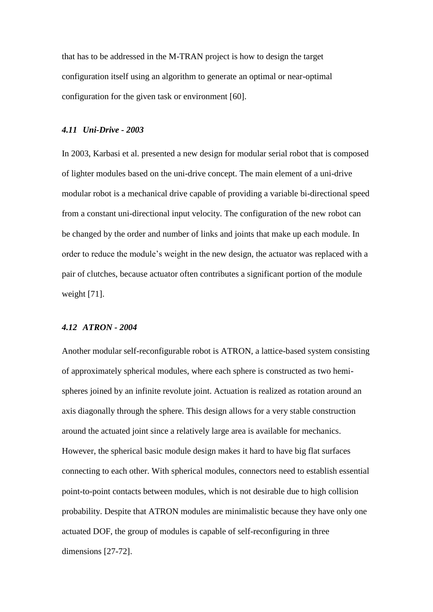that has to be addressed in the M-TRAN project is how to design the target configuration itself using an algorithm to generate an optimal or near-optimal configuration for the given task or environment [60].

#### *4.11 Uni-Drive - 2003*

In 2003, Karbasi et al. presented a new design for modular serial robot that is composed of lighter modules based on the uni-drive concept. The main element of a uni-drive modular robot is a mechanical drive capable of providing a variable bi-directional speed from a constant uni-directional input velocity. The configuration of the new robot can be changed by the order and number of links and joints that make up each module. In order to reduce the module's weight in the new design, the actuator was replaced with a pair of clutches, because actuator often contributes a significant portion of the module weight [71].

#### *4.12 ATRON - 2004*

Another modular self-reconfigurable robot is ATRON, a lattice-based system consisting of approximately spherical modules, where each sphere is constructed as two hemispheres joined by an infinite revolute joint. Actuation is realized as rotation around an axis diagonally through the sphere. This design allows for a very stable construction around the actuated joint since a relatively large area is available for mechanics. However, the spherical basic module design makes it hard to have big flat surfaces connecting to each other. With spherical modules, connectors need to establish essential point-to-point contacts between modules, which is not desirable due to high collision probability. Despite that ATRON modules are minimalistic because they have only one actuated DOF, the group of modules is capable of self-reconfiguring in three dimensions [27-72].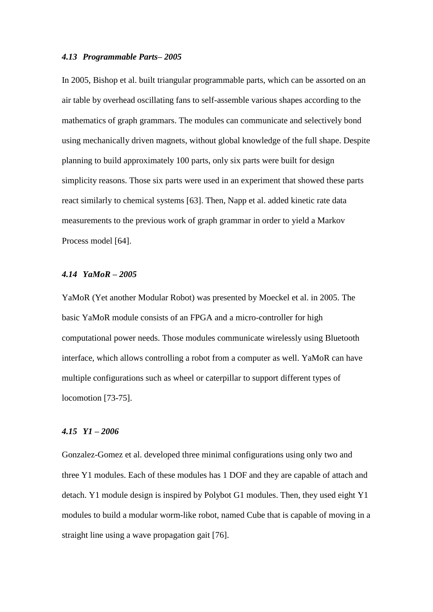#### *4.13 Programmable Parts– 2005*

In 2005, Bishop et al. built triangular programmable parts, which can be assorted on an air table by overhead oscillating fans to self-assemble various shapes according to the mathematics of graph grammars. The modules can communicate and selectively bond using mechanically driven magnets, without global knowledge of the full shape. Despite planning to build approximately 100 parts, only six parts were built for design simplicity reasons. Those six parts were used in an experiment that showed these parts react similarly to chemical systems [63]. Then, Napp et al. added kinetic rate data measurements to the previous work of graph grammar in order to yield a Markov Process model [64].

# *4.14 YaMoR – 2005*

YaMoR (Yet another Modular Robot) was presented by Moeckel et al. in 2005. The basic YaMoR module consists of an FPGA and a micro-controller for high computational power needs. Those modules communicate wirelessly using Bluetooth interface, which allows controlling a robot from a computer as well. YaMoR can have multiple configurations such as wheel or caterpillar to support different types of locomotion [73-75].

## *4.15 Y1 – 2006*

Gonzalez-Gomez et al. developed three minimal configurations using only two and three Y1 modules. Each of these modules has 1 DOF and they are capable of attach and detach. Y1 module design is inspired by Polybot G1 modules. Then, they used eight Y1 modules to build a modular worm-like robot, named Cube that is capable of moving in a straight line using a wave propagation gait [76].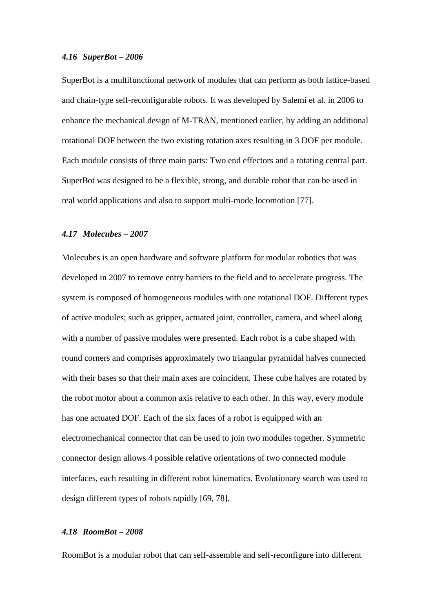#### *4.16 SuperBot – 2006*

SuperBot is a multifunctional network of modules that can perform as both lattice-based and chain-type self-reconfigurable robots. It was developed by Salemi et al. in 2006 to enhance the mechanical design of M-TRAN, mentioned earlier, by adding an additional rotational DOF between the two existing rotation axes resulting in 3 DOF per module. Each module consists of three main parts: Two end effectors and a rotating central part. SuperBot was designed to be a flexible, strong, and durable robot that can be used in real world applications and also to support multi-mode locomotion [77].

## *4.17 Molecubes – 2007*

Molecubes is an open hardware and software platform for modular robotics that was developed in 2007 to remove entry barriers to the field and to accelerate progress. The system is composed of homogeneous modules with one rotational DOF. Different types of active modules; such as gripper, actuated joint, controller, camera, and wheel along with a number of passive modules were presented. Each robot is a cube shaped with round corners and comprises approximately two triangular pyramidal halves connected with their bases so that their main axes are coincident. These cube halves are rotated by the robot motor about a common axis relative to each other. In this way, every module has one actuated DOF. Each of the six faces of a robot is equipped with an electromechanical connector that can be used to join two modules together. Symmetric connector design allows 4 possible relative orientations of two connected module interfaces, each resulting in different robot kinematics. Evolutionary search was used to design different types of robots rapidly [69, 78].

# *4.18 RoomBot – 2008*

RoomBot is a modular robot that can self-assemble and self-reconfigure into different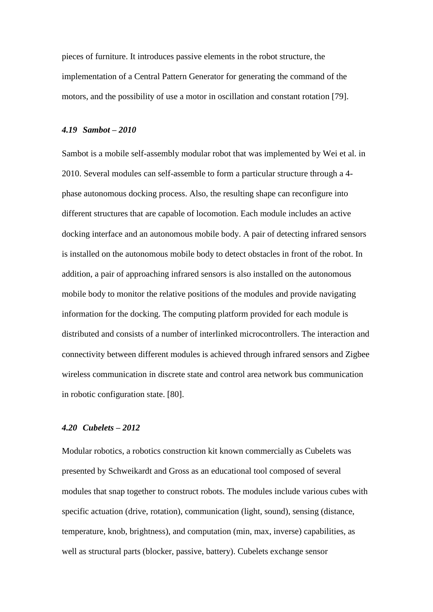pieces of furniture. It introduces passive elements in the robot structure, the implementation of a Central Pattern Generator for generating the command of the motors, and the possibility of use a motor in oscillation and constant rotation [79].

#### *4.19 Sambot – 2010*

Sambot is a mobile self-assembly modular robot that was implemented by Wei et al. in 2010. Several modules can self-assemble to form a particular structure through a 4 phase autonomous docking process. Also, the resulting shape can reconfigure into different structures that are capable of locomotion. Each module includes an active docking interface and an autonomous mobile body. A pair of detecting infrared sensors is installed on the autonomous mobile body to detect obstacles in front of the robot. In addition, a pair of approaching infrared sensors is also installed on the autonomous mobile body to monitor the relative positions of the modules and provide navigating information for the docking. The computing platform provided for each module is distributed and consists of a number of interlinked microcontrollers. The interaction and connectivity between different modules is achieved through infrared sensors and Zigbee wireless communication in discrete state and control area network bus communication in robotic configuration state. [80].

# *4.20 Cubelets – 2012*

Modular robotics, a robotics construction kit known commercially as Cubelets was presented by Schweikardt and Gross as an educational tool composed of several modules that snap together to construct robots. The modules include various cubes with specific actuation (drive, rotation), communication (light, sound), sensing (distance, temperature, knob, brightness), and computation (min, max, inverse) capabilities, as well as structural parts (blocker, passive, battery). Cubelets exchange sensor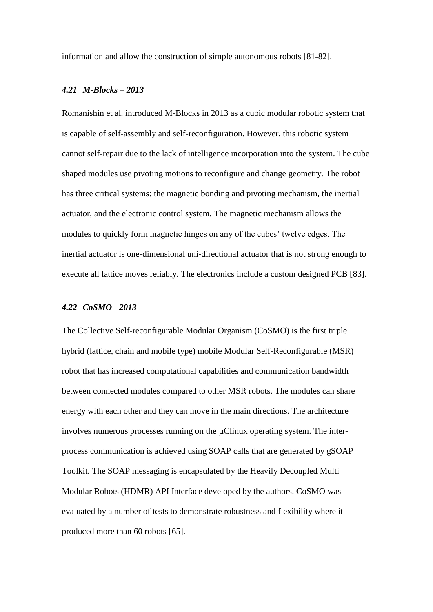information and allow the construction of simple autonomous robots [81-82].

#### *4.21 M-Blocks – 2013*

Romanishin et al. introduced M-Blocks in 2013 as a cubic modular robotic system that is capable of self-assembly and self-reconfiguration. However, this robotic system cannot self-repair due to the lack of intelligence incorporation into the system. The cube shaped modules use pivoting motions to reconfigure and change geometry. The robot has three critical systems: the magnetic bonding and pivoting mechanism, the inertial actuator, and the electronic control system. The magnetic mechanism allows the modules to quickly form magnetic hinges on any of the cubes' twelve edges. The inertial actuator is one-dimensional uni-directional actuator that is not strong enough to execute all lattice moves reliably. The electronics include a custom designed PCB [83].

# *4.22 CoSMO - 2013*

The Collective Self-reconfigurable Modular Organism (CoSMO) is the first triple hybrid (lattice, chain and mobile type) mobile Modular Self-Reconfigurable (MSR) robot that has increased computational capabilities and communication bandwidth between connected modules compared to other MSR robots. The modules can share energy with each other and they can move in the main directions. The architecture involves numerous processes running on the µClinux operating system. The interprocess communication is achieved using SOAP calls that are generated by gSOAP Toolkit. The SOAP messaging is encapsulated by the Heavily Decoupled Multi Modular Robots (HDMR) API Interface developed by the authors. CoSMO was evaluated by a number of tests to demonstrate robustness and flexibility where it produced more than 60 robots [65].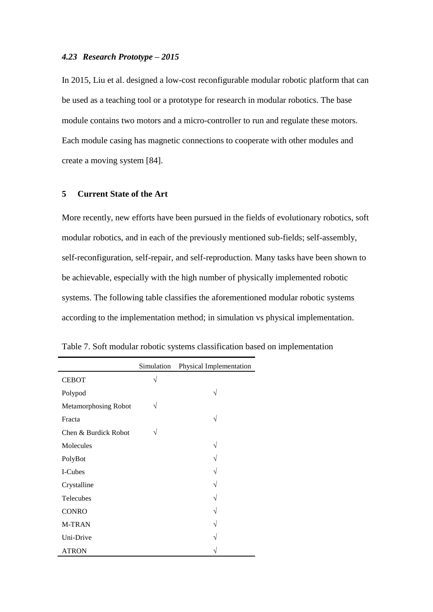### *4.23 Research Prototype – 2015*

In 2015, Liu et al. designed a low-cost reconfigurable modular robotic platform that can be used as a teaching tool or a prototype for research in modular robotics. The base module contains two motors and a micro-controller to run and regulate these motors. Each module casing has magnetic connections to cooperate with other modules and create a moving system [84].

## **5 Current State of the Art**

More recently, new efforts have been pursued in the fields of evolutionary robotics, soft modular robotics, and in each of the previously mentioned sub-fields; self-assembly, self-reconfiguration, self-repair, and self-reproduction. Many tasks have been shown to be achievable, especially with the high number of physically implemented robotic systems. The following table classifies the aforementioned modular robotic systems according to the implementation method; in simulation vs physical implementation.

|                             | Simulation | Physical Implementation |
|-----------------------------|------------|-------------------------|
| <b>CEBOT</b>                | $\sqrt{}$  |                         |
| Polypod                     |            | V                       |
| <b>Metamorphosing Robot</b> | $\sqrt{}$  |                         |
| Fracta                      |            | V                       |
| Chen & Burdick Robot        | V          |                         |
| Molecules                   |            | V                       |
| PolyBot                     |            |                         |
| I-Cubes                     |            |                         |
| Crystalline                 |            |                         |
| Telecubes                   |            |                         |
| <b>CONRO</b>                |            |                         |
| <b>M-TRAN</b>               |            |                         |
| Uni-Drive                   |            |                         |
| ATRON                       |            |                         |

Table 7. Soft modular robotic systems classification based on implementation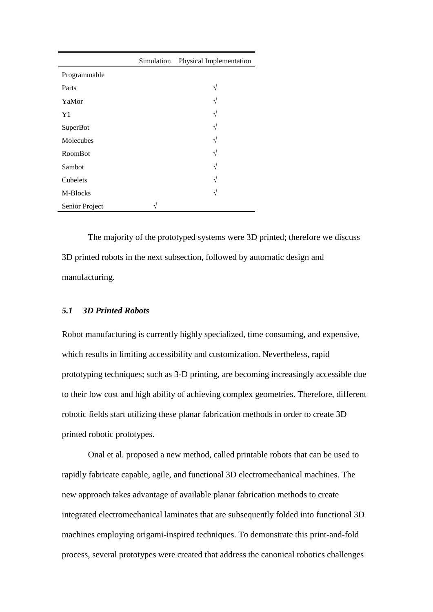|                | Simulation | Physical Implementation |
|----------------|------------|-------------------------|
| Programmable   |            |                         |
| Parts          |            | $\mathcal{N}$           |
| YaMor          |            | $\mathcal{N}$           |
| Y <sub>1</sub> |            | $\mathcal{N}$           |
| SuperBot       |            | $\mathcal{N}$           |
| Molecubes      |            | $\mathcal{N}$           |
| RoomBot        |            | $\mathcal{N}$           |
| Sambot         |            | $\mathcal{N}$           |
| Cubelets       |            | N                       |
| M-Blocks       |            | $\mathcal{N}$           |
| Senior Project |            |                         |

The majority of the prototyped systems were 3D printed; therefore we discuss 3D printed robots in the next subsection, followed by automatic design and manufacturing.

## *5.1 3D Printed Robots*

Robot manufacturing is currently highly specialized, time consuming, and expensive, which results in limiting accessibility and customization. Nevertheless, rapid prototyping techniques; such as 3-D printing, are becoming increasingly accessible due to their low cost and high ability of achieving complex geometries. Therefore, different robotic fields start utilizing these planar fabrication methods in order to create 3D printed robotic prototypes.

Onal et al. proposed a new method, called printable robots that can be used to rapidly fabricate capable, agile, and functional 3D electromechanical machines. The new approach takes advantage of available planar fabrication methods to create integrated electromechanical laminates that are subsequently folded into functional 3D machines employing origami-inspired techniques. To demonstrate this print-and-fold process, several prototypes were created that address the canonical robotics challenges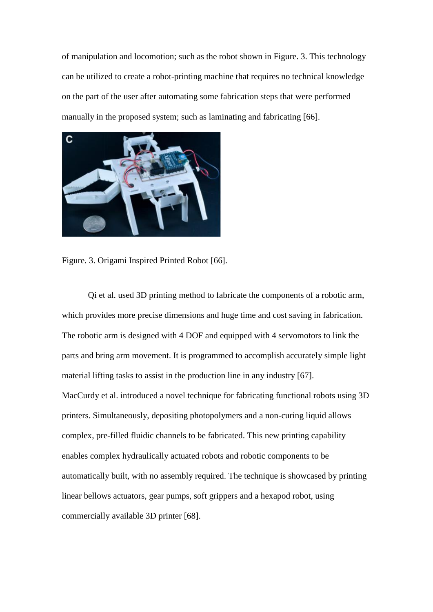of manipulation and locomotion; such as the robot shown in Figure. 3. This technology can be utilized to create a robot-printing machine that requires no technical knowledge on the part of the user after automating some fabrication steps that were performed manually in the proposed system; such as laminating and fabricating [66].



Figure. 3. Origami Inspired Printed Robot [66].

Qi et al. used 3D printing method to fabricate the components of a robotic arm, which provides more precise dimensions and huge time and cost saving in fabrication. The robotic arm is designed with 4 DOF and equipped with 4 servomotors to link the parts and bring arm movement. It is programmed to accomplish accurately simple light material lifting tasks to assist in the production line in any industry [67]. MacCurdy et al. introduced a novel technique for fabricating functional robots using 3D printers. Simultaneously, depositing photopolymers and a non-curing liquid allows complex, pre-filled fluidic channels to be fabricated. This new printing capability enables complex hydraulically actuated robots and robotic components to be automatically built, with no assembly required. The technique is showcased by printing linear bellows actuators, gear pumps, soft grippers and a hexapod robot, using commercially available 3D printer [68].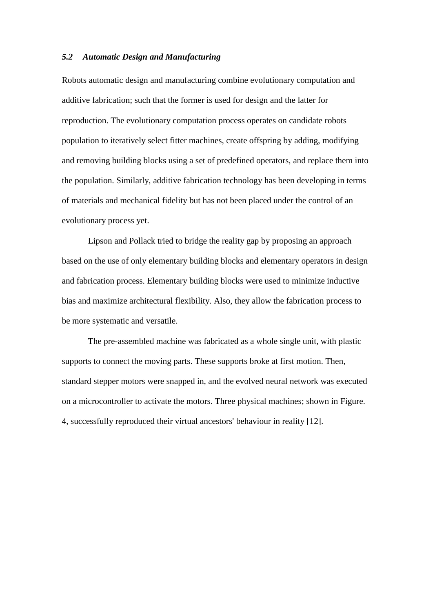#### *5.2 Automatic Design and Manufacturing*

Robots automatic design and manufacturing combine evolutionary computation and additive fabrication; such that the former is used for design and the latter for reproduction. The evolutionary computation process operates on candidate robots population to iteratively select fitter machines, create offspring by adding, modifying and removing building blocks using a set of predefined operators, and replace them into the population. Similarly, additive fabrication technology has been developing in terms of materials and mechanical fidelity but has not been placed under the control of an evolutionary process yet.

Lipson and Pollack tried to bridge the reality gap by proposing an approach based on the use of only elementary building blocks and elementary operators in design and fabrication process. Elementary building blocks were used to minimize inductive bias and maximize architectural flexibility. Also, they allow the fabrication process to be more systematic and versatile.

The pre-assembled machine was fabricated as a whole single unit, with plastic supports to connect the moving parts. These supports broke at first motion. Then, standard stepper motors were snapped in, and the evolved neural network was executed on a microcontroller to activate the motors. Three physical machines; shown in Figure. 4, successfully reproduced their virtual ancestors' behaviour in reality [12].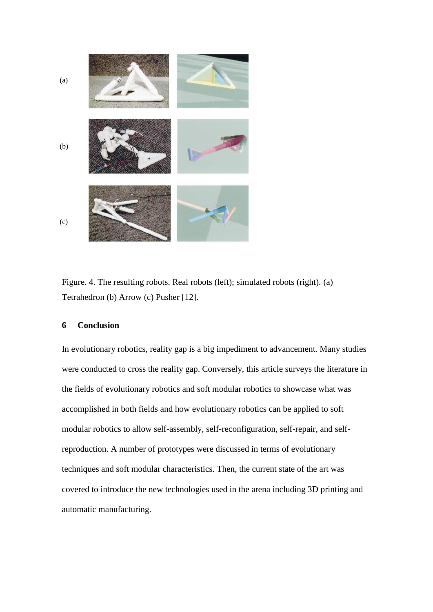

Figure. 4. The resulting robots. Real robots (left); simulated robots (right). (a) Tetrahedron (b) Arrow (c) Pusher [12].

## **6 Conclusion**

In evolutionary robotics, reality gap is a big impediment to advancement. Many studies were conducted to cross the reality gap. Conversely, this article surveys the literature in the fields of evolutionary robotics and soft modular robotics to showcase what was accomplished in both fields and how evolutionary robotics can be applied to soft modular robotics to allow self-assembly, self-reconfiguration, self-repair, and selfreproduction. A number of prototypes were discussed in terms of evolutionary techniques and soft modular characteristics. Then, the current state of the art was covered to introduce the new technologies used in the arena including 3D printing and automatic manufacturing.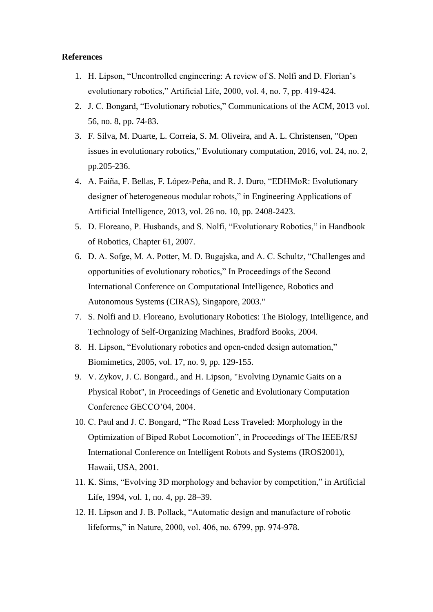## **References**

- 1. H. Lipson, "Uncontrolled engineering: A review of S. Nolfi and D. Florian's evolutionary robotics," Artificial Life, 2000, vol. 4, no. 7, pp. 419-424.
- 2. J. C. Bongard, "Evolutionary robotics," Communications of the ACM, 2013 vol. 56, no. 8, pp. 74-83.
- 3. F. Silva, M. Duarte, L. Correia, S. M. Oliveira, and A. L. Christensen, "Open issues in evolutionary robotics," Evolutionary computation, 2016, vol. 24, no. 2, pp.205-236.
- 4. A. Faíña, F. Bellas, F. López-Peña, and R. J. Duro, "EDHMoR: Evolutionary designer of heterogeneous modular robots," in Engineering Applications of Artificial Intelligence, 2013, vol. 26 no. 10, pp. 2408-2423.
- 5. D. Floreano, P. Husbands, and S. Nolfi, "Evolutionary Robotics," in Handbook of Robotics, Chapter 61, 2007.
- 6. D. A. Sofge, M. A. Potter, M. D. Bugajska, and A. C. Schultz, "Challenges and opportunities of evolutionary robotics," In Proceedings of the Second International Conference on Computational Intelligence, Robotics and Autonomous Systems (CIRAS), Singapore, 2003."
- 7. S. Nolfi and D. Floreano, Evolutionary Robotics: The Biology, Intelligence, and Technology of Self-Organizing Machines, Bradford Books, 2004.
- 8. H. Lipson, "Evolutionary robotics and open-ended design automation," Biomimetics, 2005, vol. 17, no. 9, pp. 129-155.
- 9. V. Zykov, J. C. Bongard., and H. Lipson, "Evolving Dynamic Gaits on a Physical Robot", in Proceedings of Genetic and Evolutionary Computation Conference GECCO'04, 2004.
- 10. C. Paul and J. C. Bongard, "The Road Less Traveled: Morphology in the Optimization of Biped Robot Locomotion", in Proceedings of The IEEE/RSJ International Conference on Intelligent Robots and Systems (IROS2001), Hawaii, USA, 2001.
- 11. K. Sims, "Evolving 3D morphology and behavior by competition," in Artificial Life, 1994, vol. 1, no. 4, pp. 28–39.
- 12. H. Lipson and J. B. Pollack, "Automatic design and manufacture of robotic lifeforms," in Nature, 2000, vol. 406, no. 6799, pp. 974-978.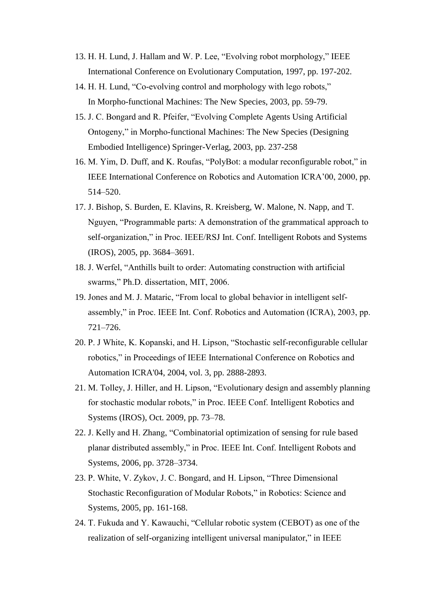- 13. H. H. Lund, J. Hallam and W. P. Lee, "Evolving robot morphology," IEEE International Conference on Evolutionary Computation, 1997, pp. 197-202.
- 14. H. H. Lund, "Co-evolving control and morphology with lego robots," In Morpho-functional Machines: The New Species, 2003, pp. 59-79.
- 15. J. C. Bongard and R. Pfeifer, "Evolving Complete Agents Using Artificial Ontogeny," in Morpho-functional Machines: The New Species (Designing Embodied Intelligence) Springer-Verlag, 2003, pp. 237-258
- 16. M. Yim, D. Duff, and K. Roufas, "PolyBot: a modular reconfigurable robot," in IEEE International Conference on Robotics and Automation ICRA'00, 2000, pp. 514–520.
- 17. J. Bishop, S. Burden, E. Klavins, R. Kreisberg, W. Malone, N. Napp, and T. Nguyen, "Programmable parts: A demonstration of the grammatical approach to self-organization," in Proc. IEEE/RSJ Int. Conf. Intelligent Robots and Systems (IROS), 2005, pp. 3684–3691.
- 18. J. Werfel, "Anthills built to order: Automating construction with artificial swarms," Ph.D. dissertation, MIT, 2006.
- 19. Jones and M. J. Mataric, "From local to global behavior in intelligent selfassembly," in Proc. IEEE Int. Conf. Robotics and Automation (ICRA), 2003, pp. 721–726.
- 20. P. J White, K. Kopanski, and H. Lipson, "Stochastic self-reconfigurable cellular robotics," in Proceedings of IEEE International Conference on Robotics and Automation ICRA'04, 2004, vol. 3, pp. 2888-2893.
- 21. M. Tolley, J. Hiller, and H. Lipson, "Evolutionary design and assembly planning for stochastic modular robots," in Proc. IEEE Conf. Intelligent Robotics and Systems (IROS), Oct. 2009, pp. 73–78.
- 22. J. Kelly and H. Zhang, "Combinatorial optimization of sensing for rule based planar distributed assembly," in Proc. IEEE Int. Conf. Intelligent Robots and Systems, 2006, pp. 3728–3734.
- 23. P. White, V. Zykov, J. C. Bongard, and H. Lipson, "Three Dimensional Stochastic Reconfiguration of Modular Robots," in Robotics: Science and Systems, 2005, pp. 161-168.
- 24. T. Fukuda and Y. Kawauchi, "Cellular robotic system (CEBOT) as one of the realization of self-organizing intelligent universal manipulator," in IEEE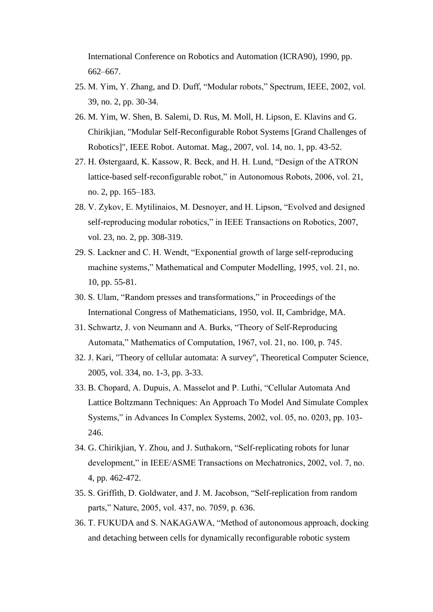International Conference on Robotics and Automation (ICRA90), 1990, pp. 662–667.

- 25. M. Yim, Y. Zhang, and D. Duff, "Modular robots," Spectrum, IEEE, 2002, vol. 39, no. 2, pp. 30-34.
- 26. M. Yim, W. Shen, B. Salemi, D. Rus, M. Moll, H. Lipson, E. Klavins and G. Chirikjian, "Modular Self-Reconfigurable Robot Systems [Grand Challenges of Robotics]", IEEE Robot. Automat. Mag., 2007, vol. 14, no. 1, pp. 43-52.
- 27. H. Østergaard, K. Kassow, R. Beck, and H. H. Lund, "Design of the ATRON lattice-based self-reconfigurable robot," in Autonomous Robots, 2006, vol. 21, no. 2, pp. 165–183.
- 28. V. Zykov, E. Mytilinaios, M. Desnoyer, and H. Lipson, "Evolved and designed self-reproducing modular robotics," in IEEE Transactions on Robotics, 2007, vol. 23, no. 2, pp. 308-319.
- 29. S. Lackner and C. H. Wendt, "Exponential growth of large self-reproducing machine systems," Mathematical and Computer Modelling, 1995, vol. 21, no. 10, pp. 55-81.
- 30. S. Ulam, "Random presses and transformations," in Proceedings of the International Congress of Mathematicians, 1950, vol. II, Cambridge, MA.
- 31. Schwartz, J. von Neumann and A. Burks, "Theory of Self-Reproducing Automata," Mathematics of Computation, 1967, vol. 21, no. 100, p. 745.
- 32. J. Kari, "Theory of cellular automata: A survey", Theoretical Computer Science, 2005, vol. 334, no. 1-3, pp. 3-33.
- 33. B. Chopard, A. Dupuis, A. Masselot and P. Luthi, "Cellular Automata And Lattice Boltzmann Techniques: An Approach To Model And Simulate Complex Systems," in Advances In Complex Systems, 2002, vol. 05, no. 0203, pp. 103- 246.
- 34. G. Chirikjian, Y. Zhou, and J. Suthakorn, "Self-replicating robots for lunar development," in IEEE/ASME Transactions on Mechatronics, 2002, vol. 7, no. 4, pp. 462-472.
- 35. S. Griffith, D. Goldwater, and J. M. Jacobson, "Self-replication from random parts," Nature, 2005, vol. 437, no. 7059, p. 636.
- 36. T. FUKUDA and S. NAKAGAWA, "Method of autonomous approach, docking and detaching between cells for dynamically reconfigurable robotic system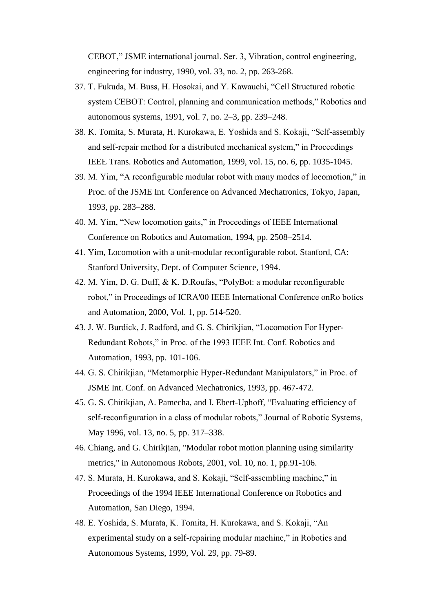CEBOT," JSME international journal. Ser. 3, Vibration, control engineering, engineering for industry, 1990, vol. 33, no. 2, pp. 263-268.

- 37. T. Fukuda, M. Buss, H. Hosokai, and Y. Kawauchi, "Cell Structured robotic system CEBOT: Control, planning and communication methods," Robotics and autonomous systems, 1991, vol. 7, no. 2–3, pp. 239–248.
- 38. K. Tomita, S. Murata, H. Kurokawa, E. Yoshida and S. Kokaji, "Self-assembly and self-repair method for a distributed mechanical system," in Proceedings IEEE Trans. Robotics and Automation, 1999, vol. 15, no. 6, pp. 1035-1045.
- 39. M. Yim, "A reconfigurable modular robot with many modes of locomotion," in Proc. of the JSME Int. Conference on Advanced Mechatronics, Tokyo, Japan, 1993, pp. 283–288.
- 40. M. Yim, "New locomotion gaits," in Proceedings of IEEE International Conference on Robotics and Automation, 1994, pp. 2508–2514.
- 41. Yim, Locomotion with a unit-modular reconfigurable robot. Stanford, CA: Stanford University, Dept. of Computer Science, 1994.
- 42. M. Yim, D. G. Duff, & K. D.Roufas, "PolyBot: a modular reconfigurable robot," in Proceedings of ICRA'00 IEEE International Conference onRo botics and Automation, 2000, Vol. 1, pp. 514-520.
- 43. J. W. Burdick, J. Radford, and G. S. Chirikjian, "Locomotion For Hyper-Redundant Robots," in Proc. of the 1993 IEEE Int. Conf. Robotics and Automation, 1993, pp. 101-106.
- 44. G. S. Chirikjian, "Metamorphic Hyper-Redundant Manipulators," in Proc. of JSME Int. Conf. on Advanced Mechatronics, 1993, pp. 467-472.
- 45. G. S. Chirikjian, A. Pamecha, and I. Ebert-Uphoff, "Evaluating efficiency of self-reconfiguration in a class of modular robots," Journal of Robotic Systems, May 1996, vol. 13, no. 5, pp. 317–338.
- 46. Chiang, and G. Chirikjian, "Modular robot motion planning using similarity metrics," in Autonomous Robots, 2001, vol. 10, no. 1, pp.91-106.
- 47. S. Murata, H. Kurokawa, and S. Kokaji, "Self-assembling machine," in Proceedings of the 1994 IEEE International Conference on Robotics and Automation, San Diego, 1994.
- 48. E. Yoshida, S. Murata, K. Tomita, H. Kurokawa, and S. Kokaji, "An experimental study on a self-repairing modular machine," in Robotics and Autonomous Systems, 1999, Vol. 29, pp. 79-89.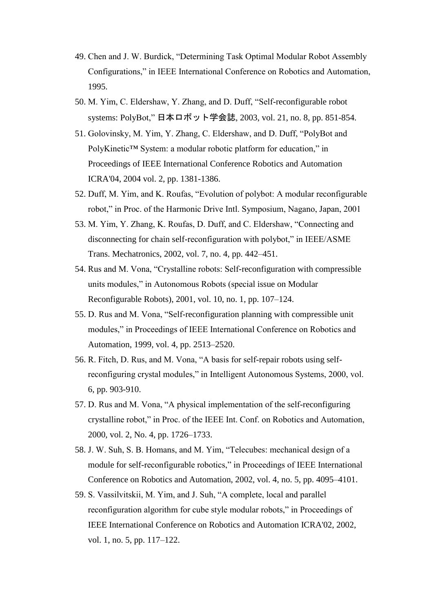- 49. Chen and J. W. Burdick, "Determining Task Optimal Modular Robot Assembly Configurations," in IEEE International Conference on Robotics and Automation, 1995.
- 50. M. Yim, C. Eldershaw, Y. Zhang, and D. Duff, "Self-reconfigurable robot systems: PolyBot," 日本ロボット学会誌, 2003, vol. 21, no. 8, pp. 851-854.
- 51. Golovinsky, M. Yim, Y. Zhang, C. Eldershaw, and D. Duff, "PolyBot and PolyKinetic™ System: a modular robotic platform for education," in Proceedings of IEEE International Conference Robotics and Automation ICRA'04, 2004 vol. 2, pp. 1381-1386.
- 52. Duff, M. Yim, and K. Roufas, "Evolution of polybot: A modular reconfigurable robot," in Proc. of the Harmonic Drive Intl. Symposium, Nagano, Japan, 2001
- 53. M. Yim, Y. Zhang, K. Roufas, D. Duff, and C. Eldershaw, "Connecting and disconnecting for chain self-reconfiguration with polybot," in IEEE/ASME Trans. Mechatronics, 2002, vol. 7, no. 4, pp. 442–451.
- 54. Rus and M. Vona, "Crystalline robots: Self-reconfiguration with compressible units modules," in Autonomous Robots (special issue on Modular Reconfigurable Robots), 2001, vol. 10, no. 1, pp. 107–124.
- 55. D. Rus and M. Vona, "Self-reconfiguration planning with compressible unit modules," in Proceedings of IEEE International Conference on Robotics and Automation, 1999, vol. 4, pp. 2513–2520.
- 56. R. Fitch, D. Rus, and M. Vona, "A basis for self-repair robots using selfreconfiguring crystal modules," in Intelligent Autonomous Systems, 2000, vol. 6, pp. 903-910.
- 57. D. Rus and M. Vona, "A physical implementation of the self-reconfiguring crystalline robot," in Proc. of the IEEE Int. Conf. on Robotics and Automation, 2000, vol. 2, No. 4, pp. 1726–1733.
- 58. J. W. Suh, S. B. Homans, and M. Yim, "Telecubes: mechanical design of a module for self-reconfigurable robotics," in Proceedings of IEEE International Conference on Robotics and Automation, 2002, vol. 4, no. 5, pp. 4095–4101.
- 59. S. Vassilvitskii, M. Yim, and J. Suh, "A complete, local and parallel reconfiguration algorithm for cube style modular robots," in Proceedings of IEEE International Conference on Robotics and Automation ICRA'02, 2002, vol. 1, no. 5, pp. 117–122.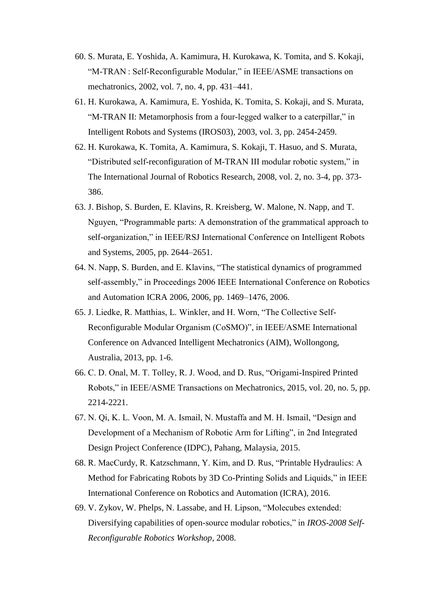- 60. S. Murata, E. Yoshida, A. Kamimura, H. Kurokawa, K. Tomita, and S. Kokaji, "M-TRAN : Self-Reconfigurable Modular," in IEEE/ASME transactions on mechatronics, 2002, vol. 7, no. 4, pp. 431–441.
- 61. H. Kurokawa, A. Kamimura, E. Yoshida, K. Tomita, S. Kokaji, and S. Murata, "M-TRAN II: Metamorphosis from a four-legged walker to a caterpillar," in Intelligent Robots and Systems (IROS03), 2003, vol. 3, pp. 2454-2459.
- 62. H. Kurokawa, K. Tomita, A. Kamimura, S. Kokaji, T. Hasuo, and S. Murata, "Distributed self-reconfiguration of M-TRAN III modular robotic system," in The International Journal of Robotics Research, 2008, vol. 2, no. 3-4, pp. 373- 386.
- 63. J. Bishop, S. Burden, E. Klavins, R. Kreisberg, W. Malone, N. Napp, and T. Nguyen, "Programmable parts: A demonstration of the grammatical approach to self-organization," in IEEE/RSJ International Conference on Intelligent Robots and Systems, 2005, pp. 2644–2651.
- 64. N. Napp, S. Burden, and E. Klavins, "The statistical dynamics of programmed self-assembly," in Proceedings 2006 IEEE International Conference on Robotics and Automation ICRA 2006, 2006, pp. 1469–1476, 2006.
- 65. J. Liedke, R. Matthias, L. Winkler, and H. Worn, "The Collective Self-Reconfigurable Modular Organism (CoSMO)", in IEEE/ASME International Conference on Advanced Intelligent Mechatronics (AIM), Wollongong, Australia, 2013, pp. 1-6.
- 66. C. D. Onal, M. T. Tolley, R. J. Wood, and D. Rus, "Origami-Inspired Printed Robots," in IEEE/ASME Transactions on Mechatronics, 2015, vol. 20, no. 5, pp. 2214-2221.
- 67. N. Qi, K. L. Voon, M. A. Ismail, N. Mustaffa and M. H. Ismail, "Design and Development of a Mechanism of Robotic Arm for Lifting", in 2nd Integrated Design Project Conference (IDPC), Pahang, Malaysia, 2015.
- 68. R. MacCurdy, R. Katzschmann, Y. Kim, and D. Rus, "Printable Hydraulics: A Method for Fabricating Robots by 3D Co-Printing Solids and Liquids," in IEEE International Conference on Robotics and Automation (ICRA), 2016.
- 69. V. Zykov, W. Phelps, N. Lassabe, and H. Lipson, "Molecubes extended: Diversifying capabilities of open-source modular robotics," in *IROS-2008 Self-Reconfigurable Robotics Workshop*, 2008.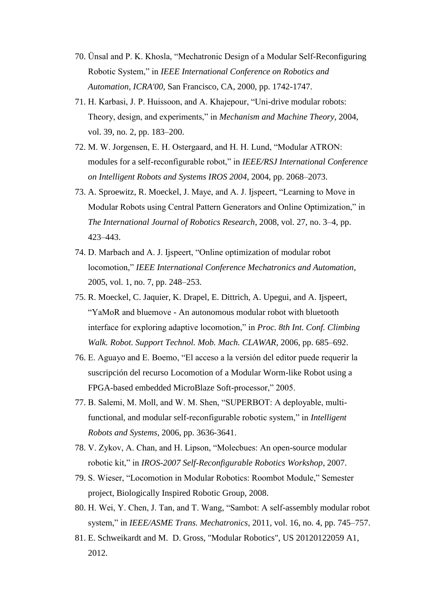- 70. Ünsal and P. K. Khosla, "Mechatronic Design of a Modular Self-Reconfiguring Robotic System," in *IEEE International Conference on Robotics and Automation, ICRA'00*, San Francisco, CA, 2000, pp. 1742-1747.
- 71. H. Karbasi, J. P. Huissoon, and A. Khajepour, "Uni-drive modular robots: Theory, design, and experiments," in *Mechanism and Machine Theory*, 2004, vol. 39, no. 2, pp. 183–200.
- 72. M. W. Jorgensen, E. H. Ostergaard, and H. H. Lund, "Modular ATRON: modules for a self-reconfigurable robot," in *IEEE/RSJ International Conference on Intelligent Robots and Systems IROS 2004*, 2004, pp. 2068–2073.
- 73. A. Sproewitz, R. Moeckel, J. Maye, and A. J. Ijspeert, "Learning to Move in Modular Robots using Central Pattern Generators and Online Optimization," in *The International Journal of Robotics Research*, 2008, vol. 27, no. 3–4, pp. 423–443.
- 74. D. Marbach and A. J. Ijspeert, "Online optimization of modular robot locomotion," *IEEE International Conference Mechatronics and Automation*, 2005, vol. 1, no. 7, pp. 248–253.
- 75. R. Moeckel, C. Jaquier, K. Drapel, E. Dittrich, A. Upegui, and A. Ijspeert, "YaMoR and bluemove - An autonomous modular robot with bluetooth interface for exploring adaptive locomotion," in *Proc. 8th Int. Conf. Climbing Walk. Robot. Support Technol. Mob. Mach. CLAWAR*, 2006, pp. 685–692.
- 76. E. Aguayo and E. Boemo, "El acceso a la versión del editor puede requerir la suscripción del recurso Locomotion of a Modular Worm-like Robot using a FPGA-based embedded MicroBlaze Soft-processor," 2005.
- 77. B. Salemi, M. Moll, and W. M. Shen, "SUPERBOT: A deployable, multifunctional, and modular self-reconfigurable robotic system," in *Intelligent Robots and Systems*, 2006, pp. 3636-3641.
- 78. V. Zykov, A. Chan, and H. Lipson, "Molecbues: An open-source modular robotic kit," in *IROS-2007 Self-Reconfigurable Robotics Workshop*, 2007.
- 79. S. Wieser, "Locomotion in Modular Robotics: Roombot Module," Semester project, Biologically Inspired Robotic Group, 2008.
- 80. H. Wei, Y. Chen, J. Tan, and T. Wang, "Sambot: A self-assembly modular robot system," in *IEEE/ASME Trans. Mechatronics*, 2011, vol. 16, no. 4, pp. 745–757.
- 81. E. Schweikardt and M. D. Gross, "Modular Robotics", US 20120122059 A1, 2012.